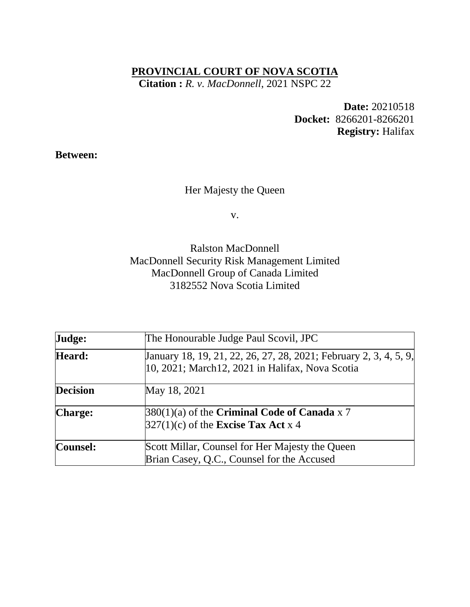#### **PROVINCIAL COURT OF NOVA SCOTIA**

**Citation :** *R. v. MacDonnell*, 2021 NSPC 22

**Date:** 20210518 **Docket:** 8266201-8266201 **Registry:** Halifax

**Between:**

#### Her Majesty the Queen

v.

## Ralston MacDonnell MacDonnell Security Risk Management Limited MacDonnell Group of Canada Limited 3182552 Nova Scotia Limited

| Judge:          | The Honourable Judge Paul Scovil, JPC                                                                                 |
|-----------------|-----------------------------------------------------------------------------------------------------------------------|
| Heard:          | January 18, 19, 21, 22, 26, 27, 28, 2021; February 2, 3, 4, 5, 9,<br>10, 2021; March 12, 2021 in Halifax, Nova Scotia |
| <b>Decision</b> | May 18, 2021                                                                                                          |
| <b>Charge:</b>  | $380(1)(a)$ of the Criminal Code of Canada x 7<br>$327(1)(c)$ of the <b>Excise Tax Act</b> x 4                        |
| <b>Counsel:</b> | Scott Millar, Counsel for Her Majesty the Queen<br>Brian Casey, Q.C., Counsel for the Accused                         |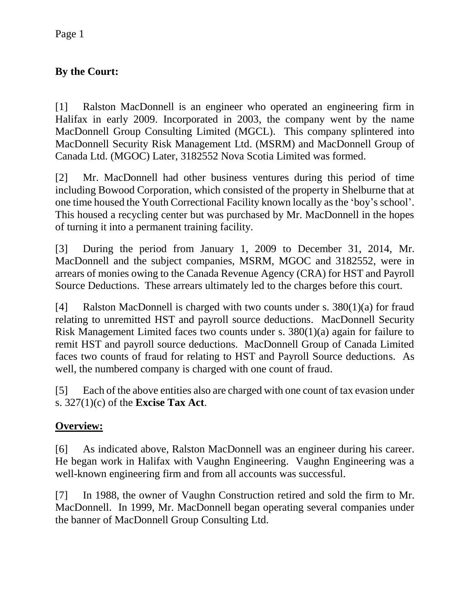# **By the Court:**

[1] Ralston MacDonnell is an engineer who operated an engineering firm in Halifax in early 2009. Incorporated in 2003, the company went by the name MacDonnell Group Consulting Limited (MGCL). This company splintered into MacDonnell Security Risk Management Ltd. (MSRM) and MacDonnell Group of Canada Ltd. (MGOC) Later, 3182552 Nova Scotia Limited was formed.

[2] Mr. MacDonnell had other business ventures during this period of time including Bowood Corporation, which consisted of the property in Shelburne that at one time housed the Youth Correctional Facility known locally as the 'boy's school'. This housed a recycling center but was purchased by Mr. MacDonnell in the hopes of turning it into a permanent training facility.

[3] During the period from January 1, 2009 to December 31, 2014, Mr. MacDonnell and the subject companies, MSRM, MGOC and 3182552, were in arrears of monies owing to the Canada Revenue Agency (CRA) for HST and Payroll Source Deductions. These arrears ultimately led to the charges before this court.

[4] Ralston MacDonnell is charged with two counts under s. 380(1)(a) for fraud relating to unremitted HST and payroll source deductions. MacDonnell Security Risk Management Limited faces two counts under s. 380(1)(a) again for failure to remit HST and payroll source deductions. MacDonnell Group of Canada Limited faces two counts of fraud for relating to HST and Payroll Source deductions. As well, the numbered company is charged with one count of fraud.

[5] Each of the above entities also are charged with one count of tax evasion under s. 327(1)(c) of the **Excise Tax Act**.

## **Overview:**

[6] As indicated above, Ralston MacDonnell was an engineer during his career. He began work in Halifax with Vaughn Engineering. Vaughn Engineering was a well-known engineering firm and from all accounts was successful.

[7] In 1988, the owner of Vaughn Construction retired and sold the firm to Mr. MacDonnell. In 1999, Mr. MacDonnell began operating several companies under the banner of MacDonnell Group Consulting Ltd.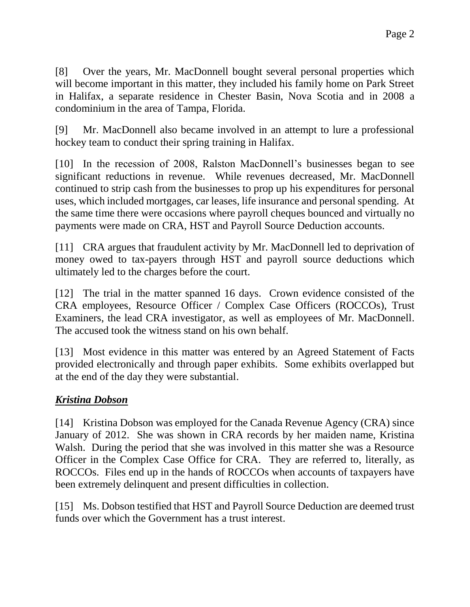[8] Over the years, Mr. MacDonnell bought several personal properties which will become important in this matter, they included his family home on Park Street in Halifax, a separate residence in Chester Basin, Nova Scotia and in 2008 a condominium in the area of Tampa, Florida.

[9] Mr. MacDonnell also became involved in an attempt to lure a professional hockey team to conduct their spring training in Halifax.

[10] In the recession of 2008, Ralston MacDonnell's businesses began to see significant reductions in revenue. While revenues decreased, Mr. MacDonnell continued to strip cash from the businesses to prop up his expenditures for personal uses, which included mortgages, car leases, life insurance and personal spending. At the same time there were occasions where payroll cheques bounced and virtually no payments were made on CRA, HST and Payroll Source Deduction accounts.

[11] CRA argues that fraudulent activity by Mr. MacDonnell led to deprivation of money owed to tax-payers through HST and payroll source deductions which ultimately led to the charges before the court.

[12] The trial in the matter spanned 16 days. Crown evidence consisted of the CRA employees, Resource Officer / Complex Case Officers (ROCCOs), Trust Examiners, the lead CRA investigator, as well as employees of Mr. MacDonnell. The accused took the witness stand on his own behalf.

[13] Most evidence in this matter was entered by an Agreed Statement of Facts provided electronically and through paper exhibits. Some exhibits overlapped but at the end of the day they were substantial.

## *Kristina Dobson*

[14] Kristina Dobson was employed for the Canada Revenue Agency (CRA) since January of 2012. She was shown in CRA records by her maiden name, Kristina Walsh. During the period that she was involved in this matter she was a Resource Officer in the Complex Case Office for CRA. They are referred to, literally, as ROCCOs. Files end up in the hands of ROCCOs when accounts of taxpayers have been extremely delinquent and present difficulties in collection.

[15] Ms. Dobson testified that HST and Payroll Source Deduction are deemed trust funds over which the Government has a trust interest.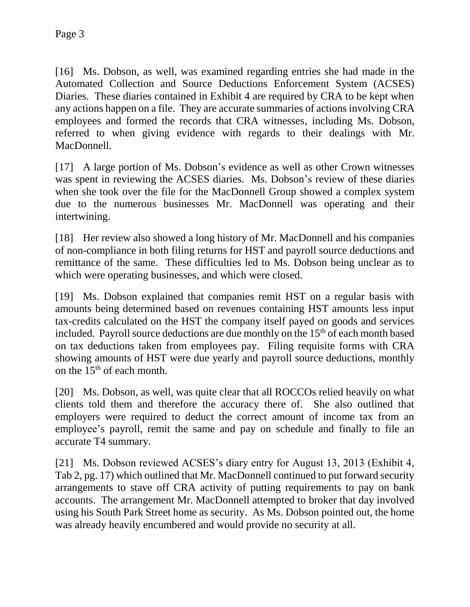[16] Ms. Dobson, as well, was examined regarding entries she had made in the Automated Collection and Source Deductions Enforcement System (ACSES) Diaries. These diaries contained in Exhibit 4 are required by CRA to be kept when any actions happen on a file. They are accurate summaries of actions involving CRA employees and formed the records that CRA witnesses, including Ms. Dobson, referred to when giving evidence with regards to their dealings with Mr. MacDonnell.

[17] A large portion of Ms. Dobson's evidence as well as other Crown witnesses was spent in reviewing the ACSES diaries. Ms. Dobson's review of these diaries when she took over the file for the MacDonnell Group showed a complex system due to the numerous businesses Mr. MacDonnell was operating and their intertwining.

[18] Her review also showed a long history of Mr. MacDonnell and his companies of non-compliance in both filing returns for HST and payroll source deductions and remittance of the same. These difficulties led to Ms. Dobson being unclear as to which were operating businesses, and which were closed.

[19] Ms. Dobson explained that companies remit HST on a regular basis with amounts being determined based on revenues containing HST amounts less input tax-credits calculated on the HST the company itself payed on goods and services included. Payroll source deductions are due monthly on the  $15<sup>th</sup>$  of each month based on tax deductions taken from employees pay. Filing requisite forms with CRA showing amounts of HST were due yearly and payroll source deductions, monthly on the 15<sup>th</sup> of each month.

[20] Ms. Dobson, as well, was quite clear that all ROCCOs relied heavily on what clients told them and therefore the accuracy there of. She also outlined that employers were required to deduct the correct amount of income tax from an employee's payroll, remit the same and pay on schedule and finally to file an accurate T4 summary.

[21] Ms. Dobson reviewed ACSES's diary entry for August 13, 2013 (Exhibit 4, Tab 2, pg. 17) which outlined that Mr. MacDonnell continued to put forward security arrangements to stave off CRA activity of putting requirements to pay on bank accounts. The arrangement Mr. MacDonnell attempted to broker that day involved using his South Park Street home as security. As Ms. Dobson pointed out, the home was already heavily encumbered and would provide no security at all.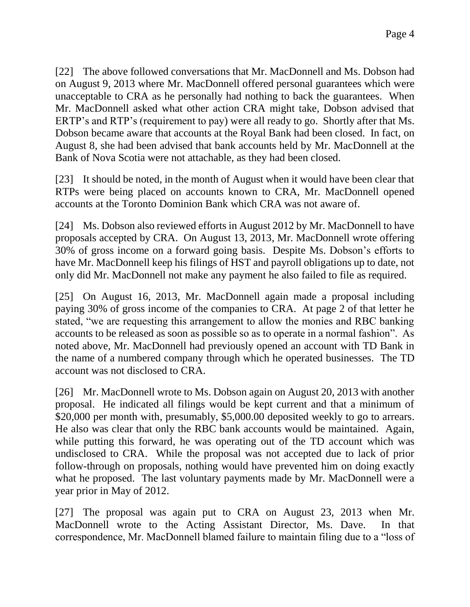[22] The above followed conversations that Mr. MacDonnell and Ms. Dobson had on August 9, 2013 where Mr. MacDonnell offered personal guarantees which were unacceptable to CRA as he personally had nothing to back the guarantees. When Mr. MacDonnell asked what other action CRA might take, Dobson advised that ERTP's and RTP's (requirement to pay) were all ready to go. Shortly after that Ms. Dobson became aware that accounts at the Royal Bank had been closed. In fact, on August 8, she had been advised that bank accounts held by Mr. MacDonnell at the Bank of Nova Scotia were not attachable, as they had been closed.

[23] It should be noted, in the month of August when it would have been clear that RTPs were being placed on accounts known to CRA, Mr. MacDonnell opened accounts at the Toronto Dominion Bank which CRA was not aware of.

[24] Ms. Dobson also reviewed efforts in August 2012 by Mr. MacDonnell to have proposals accepted by CRA. On August 13, 2013, Mr. MacDonnell wrote offering 30% of gross income on a forward going basis. Despite Ms. Dobson's efforts to have Mr. MacDonnell keep his filings of HST and payroll obligations up to date, not only did Mr. MacDonnell not make any payment he also failed to file as required.

[25] On August 16, 2013, Mr. MacDonnell again made a proposal including paying 30% of gross income of the companies to CRA. At page 2 of that letter he stated, "we are requesting this arrangement to allow the monies and RBC banking accounts to be released as soon as possible so as to operate in a normal fashion". As noted above, Mr. MacDonnell had previously opened an account with TD Bank in the name of a numbered company through which he operated businesses. The TD account was not disclosed to CRA.

[26] Mr. MacDonnell wrote to Ms. Dobson again on August 20, 2013 with another proposal. He indicated all filings would be kept current and that a minimum of \$20,000 per month with, presumably, \$5,000.00 deposited weekly to go to arrears. He also was clear that only the RBC bank accounts would be maintained. Again, while putting this forward, he was operating out of the TD account which was undisclosed to CRA. While the proposal was not accepted due to lack of prior follow-through on proposals, nothing would have prevented him on doing exactly what he proposed. The last voluntary payments made by Mr. MacDonnell were a year prior in May of 2012.

[27] The proposal was again put to CRA on August 23, 2013 when Mr. MacDonnell wrote to the Acting Assistant Director, Ms. Dave. In that correspondence, Mr. MacDonnell blamed failure to maintain filing due to a "loss of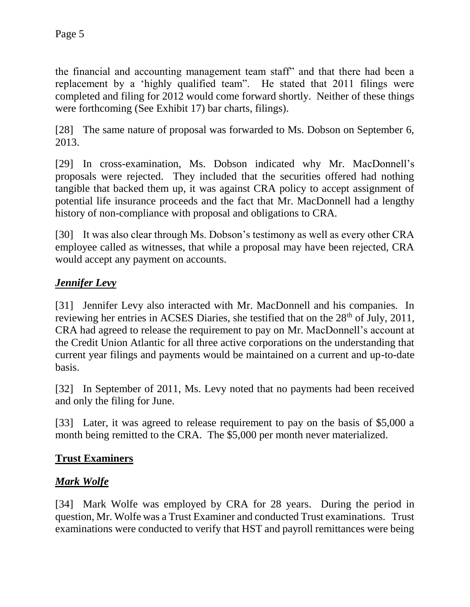the financial and accounting management team staff" and that there had been a replacement by a 'highly qualified team". He stated that 2011 filings were completed and filing for 2012 would come forward shortly. Neither of these things were forthcoming (See Exhibit 17) bar charts, filings).

[28] The same nature of proposal was forwarded to Ms. Dobson on September 6, 2013.

[29] In cross-examination, Ms. Dobson indicated why Mr. MacDonnell's proposals were rejected. They included that the securities offered had nothing tangible that backed them up, it was against CRA policy to accept assignment of potential life insurance proceeds and the fact that Mr. MacDonnell had a lengthy history of non-compliance with proposal and obligations to CRA.

[30] It was also clear through Ms. Dobson's testimony as well as every other CRA employee called as witnesses, that while a proposal may have been rejected, CRA would accept any payment on accounts.

# *Jennifer Levy*

[31] Jennifer Levy also interacted with Mr. MacDonnell and his companies. In reviewing her entries in ACSES Diaries, she testified that on the 28<sup>th</sup> of July, 2011, CRA had agreed to release the requirement to pay on Mr. MacDonnell's account at the Credit Union Atlantic for all three active corporations on the understanding that current year filings and payments would be maintained on a current and up-to-date basis.

[32] In September of 2011, Ms. Levy noted that no payments had been received and only the filing for June.

[33] Later, it was agreed to release requirement to pay on the basis of \$5,000 a month being remitted to the CRA. The \$5,000 per month never materialized.

## **Trust Examiners**

# *Mark Wolfe*

[34] Mark Wolfe was employed by CRA for 28 years. During the period in question, Mr. Wolfe was a Trust Examiner and conducted Trust examinations. Trust examinations were conducted to verify that HST and payroll remittances were being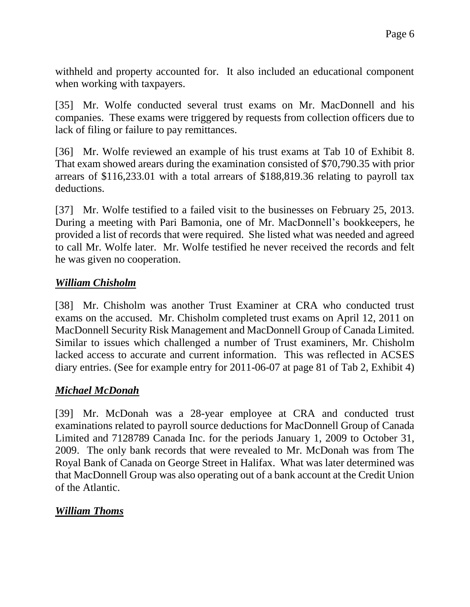withheld and property accounted for. It also included an educational component when working with taxpayers.

[35] Mr. Wolfe conducted several trust exams on Mr. MacDonnell and his companies. These exams were triggered by requests from collection officers due to lack of filing or failure to pay remittances.

[36] Mr. Wolfe reviewed an example of his trust exams at Tab 10 of Exhibit 8. That exam showed arears during the examination consisted of \$70,790.35 with prior arrears of \$116,233.01 with a total arrears of \$188,819.36 relating to payroll tax deductions.

[37] Mr. Wolfe testified to a failed visit to the businesses on February 25, 2013. During a meeting with Pari Bamonia, one of Mr. MacDonnell's bookkeepers, he provided a list of records that were required. She listed what was needed and agreed to call Mr. Wolfe later. Mr. Wolfe testified he never received the records and felt he was given no cooperation.

#### *William Chisholm*

[38] Mr. Chisholm was another Trust Examiner at CRA who conducted trust exams on the accused. Mr. Chisholm completed trust exams on April 12, 2011 on MacDonnell Security Risk Management and MacDonnell Group of Canada Limited. Similar to issues which challenged a number of Trust examiners, Mr. Chisholm lacked access to accurate and current information. This was reflected in ACSES diary entries. (See for example entry for 2011-06-07 at page 81 of Tab 2, Exhibit 4)

## *Michael McDonah*

[39] Mr. McDonah was a 28-year employee at CRA and conducted trust examinations related to payroll source deductions for MacDonnell Group of Canada Limited and 7128789 Canada Inc. for the periods January 1, 2009 to October 31, 2009. The only bank records that were revealed to Mr. McDonah was from The Royal Bank of Canada on George Street in Halifax. What was later determined was that MacDonnell Group was also operating out of a bank account at the Credit Union of the Atlantic.

#### *William Thoms*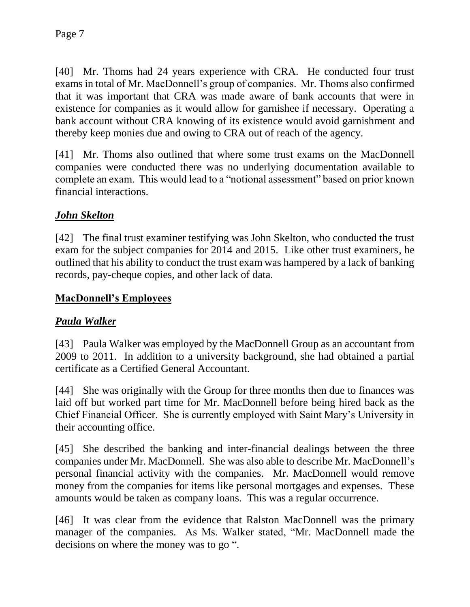[40] Mr. Thoms had 24 years experience with CRA. He conducted four trust exams in total of Mr. MacDonnell's group of companies. Mr. Thoms also confirmed that it was important that CRA was made aware of bank accounts that were in existence for companies as it would allow for garnishee if necessary. Operating a bank account without CRA knowing of its existence would avoid garnishment and thereby keep monies due and owing to CRA out of reach of the agency.

[41] Mr. Thoms also outlined that where some trust exams on the MacDonnell companies were conducted there was no underlying documentation available to complete an exam. This would lead to a "notional assessment" based on prior known financial interactions.

## *John Skelton*

[42] The final trust examiner testifying was John Skelton, who conducted the trust exam for the subject companies for 2014 and 2015. Like other trust examiners, he outlined that his ability to conduct the trust exam was hampered by a lack of banking records, pay-cheque copies, and other lack of data.

#### **MacDonnell's Employees**

## *Paula Walker*

[43] Paula Walker was employed by the MacDonnell Group as an accountant from 2009 to 2011. In addition to a university background, she had obtained a partial certificate as a Certified General Accountant.

[44] She was originally with the Group for three months then due to finances was laid off but worked part time for Mr. MacDonnell before being hired back as the Chief Financial Officer. She is currently employed with Saint Mary's University in their accounting office.

[45] She described the banking and inter-financial dealings between the three companies under Mr. MacDonnell. She was also able to describe Mr. MacDonnell's personal financial activity with the companies. Mr. MacDonnell would remove money from the companies for items like personal mortgages and expenses. These amounts would be taken as company loans. This was a regular occurrence.

[46] It was clear from the evidence that Ralston MacDonnell was the primary manager of the companies. As Ms. Walker stated, "Mr. MacDonnell made the decisions on where the money was to go ".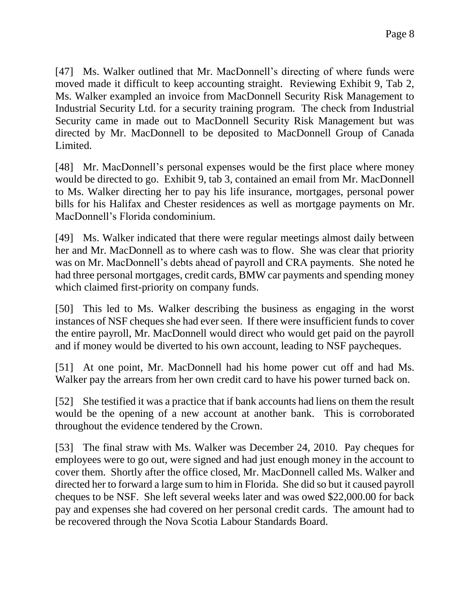[47] Ms. Walker outlined that Mr. MacDonnell's directing of where funds were moved made it difficult to keep accounting straight. Reviewing Exhibit 9, Tab 2, Ms. Walker exampled an invoice from MacDonnell Security Risk Management to Industrial Security Ltd. for a security training program. The check from Industrial Security came in made out to MacDonnell Security Risk Management but was directed by Mr. MacDonnell to be deposited to MacDonnell Group of Canada Limited.

[48] Mr. MacDonnell's personal expenses would be the first place where money would be directed to go. Exhibit 9, tab 3, contained an email from Mr. MacDonnell to Ms. Walker directing her to pay his life insurance, mortgages, personal power bills for his Halifax and Chester residences as well as mortgage payments on Mr. MacDonnell's Florida condominium.

[49] Ms. Walker indicated that there were regular meetings almost daily between her and Mr. MacDonnell as to where cash was to flow. She was clear that priority was on Mr. MacDonnell's debts ahead of payroll and CRA payments. She noted he had three personal mortgages, credit cards, BMW car payments and spending money which claimed first-priority on company funds.

[50] This led to Ms. Walker describing the business as engaging in the worst instances of NSF cheques she had ever seen. If there were insufficient funds to cover the entire payroll, Mr. MacDonnell would direct who would get paid on the payroll and if money would be diverted to his own account, leading to NSF paycheques.

[51] At one point, Mr. MacDonnell had his home power cut off and had Ms. Walker pay the arrears from her own credit card to have his power turned back on.

[52] She testified it was a practice that if bank accounts had liens on them the result would be the opening of a new account at another bank. This is corroborated throughout the evidence tendered by the Crown.

[53] The final straw with Ms. Walker was December 24, 2010. Pay cheques for employees were to go out, were signed and had just enough money in the account to cover them. Shortly after the office closed, Mr. MacDonnell called Ms. Walker and directed her to forward a large sum to him in Florida. She did so but it caused payroll cheques to be NSF. She left several weeks later and was owed \$22,000.00 for back pay and expenses she had covered on her personal credit cards. The amount had to be recovered through the Nova Scotia Labour Standards Board.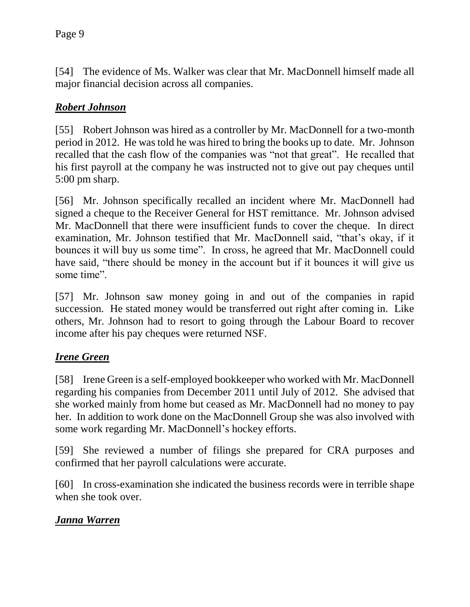[54] The evidence of Ms. Walker was clear that Mr. MacDonnell himself made all major financial decision across all companies.

## *Robert Johnson*

[55] Robert Johnson was hired as a controller by Mr. MacDonnell for a two-month period in 2012. He was told he was hired to bring the books up to date. Mr. Johnson recalled that the cash flow of the companies was "not that great". He recalled that his first payroll at the company he was instructed not to give out pay cheques until 5:00 pm sharp.

[56] Mr. Johnson specifically recalled an incident where Mr. MacDonnell had signed a cheque to the Receiver General for HST remittance. Mr. Johnson advised Mr. MacDonnell that there were insufficient funds to cover the cheque. In direct examination, Mr. Johnson testified that Mr. MacDonnell said, "that's okay, if it bounces it will buy us some time". In cross, he agreed that Mr. MacDonnell could have said, "there should be money in the account but if it bounces it will give us some time".

[57] Mr. Johnson saw money going in and out of the companies in rapid succession. He stated money would be transferred out right after coming in. Like others, Mr. Johnson had to resort to going through the Labour Board to recover income after his pay cheques were returned NSF.

## *Irene Green*

[58] Irene Green is a self-employed bookkeeper who worked with Mr. MacDonnell regarding his companies from December 2011 until July of 2012. She advised that she worked mainly from home but ceased as Mr. MacDonnell had no money to pay her. In addition to work done on the MacDonnell Group she was also involved with some work regarding Mr. MacDonnell's hockey efforts.

[59] She reviewed a number of filings she prepared for CRA purposes and confirmed that her payroll calculations were accurate.

[60] In cross-examination she indicated the business records were in terrible shape when she took over.

## *Janna Warren*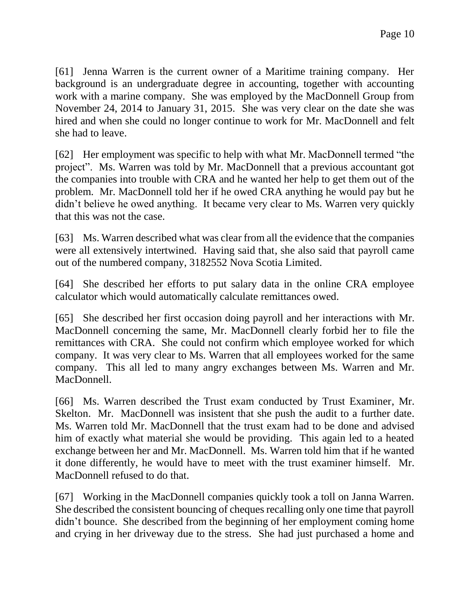[61] Jenna Warren is the current owner of a Maritime training company. Her background is an undergraduate degree in accounting, together with accounting work with a marine company. She was employed by the MacDonnell Group from November 24, 2014 to January 31, 2015. She was very clear on the date she was hired and when she could no longer continue to work for Mr. MacDonnell and felt she had to leave.

[62] Her employment was specific to help with what Mr. MacDonnell termed "the project". Ms. Warren was told by Mr. MacDonnell that a previous accountant got the companies into trouble with CRA and he wanted her help to get them out of the problem. Mr. MacDonnell told her if he owed CRA anything he would pay but he didn't believe he owed anything. It became very clear to Ms. Warren very quickly that this was not the case.

[63] Ms. Warren described what was clear from all the evidence that the companies were all extensively intertwined. Having said that, she also said that payroll came out of the numbered company, 3182552 Nova Scotia Limited.

[64] She described her efforts to put salary data in the online CRA employee calculator which would automatically calculate remittances owed.

[65] She described her first occasion doing payroll and her interactions with Mr. MacDonnell concerning the same, Mr. MacDonnell clearly forbid her to file the remittances with CRA. She could not confirm which employee worked for which company. It was very clear to Ms. Warren that all employees worked for the same company. This all led to many angry exchanges between Ms. Warren and Mr. MacDonnell.

[66] Ms. Warren described the Trust exam conducted by Trust Examiner, Mr. Skelton. Mr. MacDonnell was insistent that she push the audit to a further date. Ms. Warren told Mr. MacDonnell that the trust exam had to be done and advised him of exactly what material she would be providing. This again led to a heated exchange between her and Mr. MacDonnell. Ms. Warren told him that if he wanted it done differently, he would have to meet with the trust examiner himself. Mr. MacDonnell refused to do that.

[67] Working in the MacDonnell companies quickly took a toll on Janna Warren. She described the consistent bouncing of cheques recalling only one time that payroll didn't bounce. She described from the beginning of her employment coming home and crying in her driveway due to the stress. She had just purchased a home and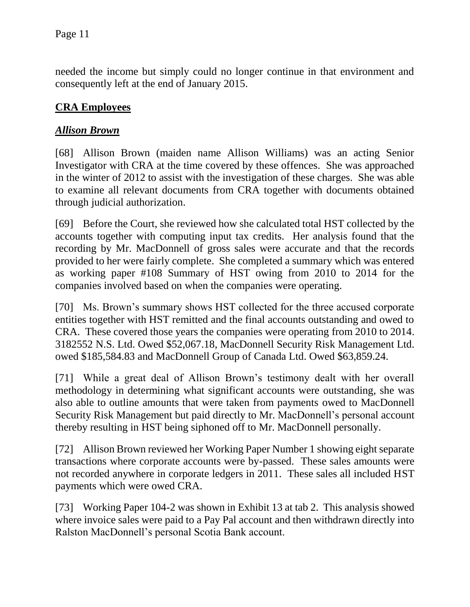needed the income but simply could no longer continue in that environment and consequently left at the end of January 2015.

## **CRA Employees**

## *Allison Brown*

[68] Allison Brown (maiden name Allison Williams) was an acting Senior Investigator with CRA at the time covered by these offences. She was approached in the winter of 2012 to assist with the investigation of these charges. She was able to examine all relevant documents from CRA together with documents obtained through judicial authorization.

[69] Before the Court, she reviewed how she calculated total HST collected by the accounts together with computing input tax credits. Her analysis found that the recording by Mr. MacDonnell of gross sales were accurate and that the records provided to her were fairly complete. She completed a summary which was entered as working paper #108 Summary of HST owing from 2010 to 2014 for the companies involved based on when the companies were operating.

[70] Ms. Brown's summary shows HST collected for the three accused corporate entities together with HST remitted and the final accounts outstanding and owed to CRA. These covered those years the companies were operating from 2010 to 2014. 3182552 N.S. Ltd. Owed \$52,067.18, MacDonnell Security Risk Management Ltd. owed \$185,584.83 and MacDonnell Group of Canada Ltd. Owed \$63,859.24.

[71] While a great deal of Allison Brown's testimony dealt with her overall methodology in determining what significant accounts were outstanding, she was also able to outline amounts that were taken from payments owed to MacDonnell Security Risk Management but paid directly to Mr. MacDonnell's personal account thereby resulting in HST being siphoned off to Mr. MacDonnell personally.

[72] Allison Brown reviewed her Working Paper Number 1 showing eight separate transactions where corporate accounts were by-passed. These sales amounts were not recorded anywhere in corporate ledgers in 2011. These sales all included HST payments which were owed CRA.

[73] Working Paper 104-2 was shown in Exhibit 13 at tab 2. This analysis showed where invoice sales were paid to a Pay Pal account and then withdrawn directly into Ralston MacDonnell's personal Scotia Bank account.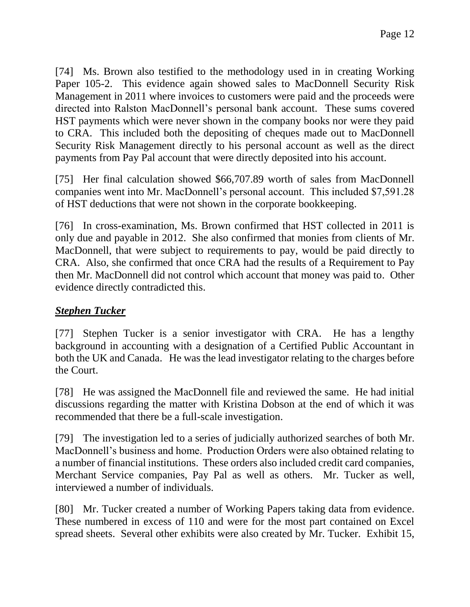[74] Ms. Brown also testified to the methodology used in in creating Working Paper 105-2. This evidence again showed sales to MacDonnell Security Risk Management in 2011 where invoices to customers were paid and the proceeds were directed into Ralston MacDonnell's personal bank account. These sums covered HST payments which were never shown in the company books nor were they paid to CRA. This included both the depositing of cheques made out to MacDonnell Security Risk Management directly to his personal account as well as the direct payments from Pay Pal account that were directly deposited into his account.

[75] Her final calculation showed \$66,707.89 worth of sales from MacDonnell companies went into Mr. MacDonnell's personal account. This included \$7,591.28 of HST deductions that were not shown in the corporate bookkeeping.

[76] In cross-examination, Ms. Brown confirmed that HST collected in 2011 is only due and payable in 2012. She also confirmed that monies from clients of Mr. MacDonnell, that were subject to requirements to pay, would be paid directly to CRA. Also, she confirmed that once CRA had the results of a Requirement to Pay then Mr. MacDonnell did not control which account that money was paid to. Other evidence directly contradicted this.

## *Stephen Tucker*

[77] Stephen Tucker is a senior investigator with CRA. He has a lengthy background in accounting with a designation of a Certified Public Accountant in both the UK and Canada. He was the lead investigator relating to the charges before the Court.

[78] He was assigned the MacDonnell file and reviewed the same. He had initial discussions regarding the matter with Kristina Dobson at the end of which it was recommended that there be a full-scale investigation.

[79] The investigation led to a series of judicially authorized searches of both Mr. MacDonnell's business and home. Production Orders were also obtained relating to a number of financial institutions. These orders also included credit card companies, Merchant Service companies, Pay Pal as well as others. Mr. Tucker as well, interviewed a number of individuals.

[80] Mr. Tucker created a number of Working Papers taking data from evidence. These numbered in excess of 110 and were for the most part contained on Excel spread sheets. Several other exhibits were also created by Mr. Tucker. Exhibit 15,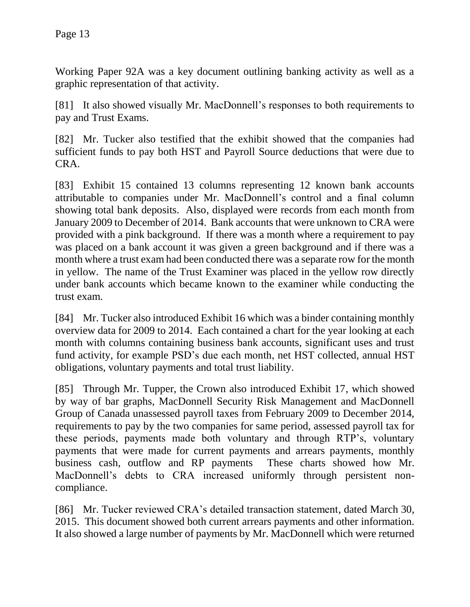Working Paper 92A was a key document outlining banking activity as well as a graphic representation of that activity.

[81] It also showed visually Mr. MacDonnell's responses to both requirements to pay and Trust Exams.

[82] Mr. Tucker also testified that the exhibit showed that the companies had sufficient funds to pay both HST and Payroll Source deductions that were due to CRA.

[83] Exhibit 15 contained 13 columns representing 12 known bank accounts attributable to companies under Mr. MacDonnell's control and a final column showing total bank deposits. Also, displayed were records from each month from January 2009 to December of 2014. Bank accounts that were unknown to CRA were provided with a pink background. If there was a month where a requirement to pay was placed on a bank account it was given a green background and if there was a month where a trust exam had been conducted there was a separate row for the month in yellow. The name of the Trust Examiner was placed in the yellow row directly under bank accounts which became known to the examiner while conducting the trust exam.

[84] Mr. Tucker also introduced Exhibit 16 which was a binder containing monthly overview data for 2009 to 2014. Each contained a chart for the year looking at each month with columns containing business bank accounts, significant uses and trust fund activity, for example PSD's due each month, net HST collected, annual HST obligations, voluntary payments and total trust liability.

[85] Through Mr. Tupper, the Crown also introduced Exhibit 17, which showed by way of bar graphs, MacDonnell Security Risk Management and MacDonnell Group of Canada unassessed payroll taxes from February 2009 to December 2014, requirements to pay by the two companies for same period, assessed payroll tax for these periods, payments made both voluntary and through RTP's, voluntary payments that were made for current payments and arrears payments, monthly business cash, outflow and RP payments These charts showed how Mr. MacDonnell's debts to CRA increased uniformly through persistent noncompliance.

[86] Mr. Tucker reviewed CRA's detailed transaction statement, dated March 30, 2015. This document showed both current arrears payments and other information. It also showed a large number of payments by Mr. MacDonnell which were returned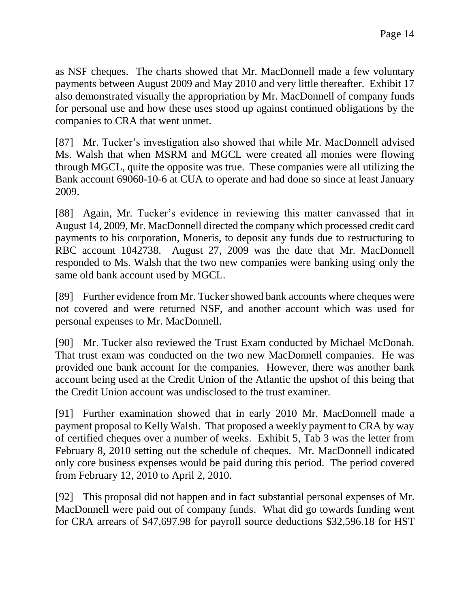as NSF cheques. The charts showed that Mr. MacDonnell made a few voluntary payments between August 2009 and May 2010 and very little thereafter. Exhibit 17 also demonstrated visually the appropriation by Mr. MacDonnell of company funds for personal use and how these uses stood up against continued obligations by the companies to CRA that went unmet.

[87] Mr. Tucker's investigation also showed that while Mr. MacDonnell advised Ms. Walsh that when MSRM and MGCL were created all monies were flowing through MGCL, quite the opposite was true. These companies were all utilizing the Bank account 69060-10-6 at CUA to operate and had done so since at least January 2009.

[88] Again, Mr. Tucker's evidence in reviewing this matter canvassed that in August 14, 2009, Mr. MacDonnell directed the company which processed credit card payments to his corporation, Moneris, to deposit any funds due to restructuring to RBC account 1042738. August 27, 2009 was the date that Mr. MacDonnell responded to Ms. Walsh that the two new companies were banking using only the same old bank account used by MGCL.

[89] Further evidence from Mr. Tucker showed bank accounts where cheques were not covered and were returned NSF, and another account which was used for personal expenses to Mr. MacDonnell.

[90] Mr. Tucker also reviewed the Trust Exam conducted by Michael McDonah. That trust exam was conducted on the two new MacDonnell companies. He was provided one bank account for the companies. However, there was another bank account being used at the Credit Union of the Atlantic the upshot of this being that the Credit Union account was undisclosed to the trust examiner.

[91] Further examination showed that in early 2010 Mr. MacDonnell made a payment proposal to Kelly Walsh. That proposed a weekly payment to CRA by way of certified cheques over a number of weeks. Exhibit 5, Tab 3 was the letter from February 8, 2010 setting out the schedule of cheques. Mr. MacDonnell indicated only core business expenses would be paid during this period. The period covered from February 12, 2010 to April 2, 2010.

[92] This proposal did not happen and in fact substantial personal expenses of Mr. MacDonnell were paid out of company funds. What did go towards funding went for CRA arrears of \$47,697.98 for payroll source deductions \$32,596.18 for HST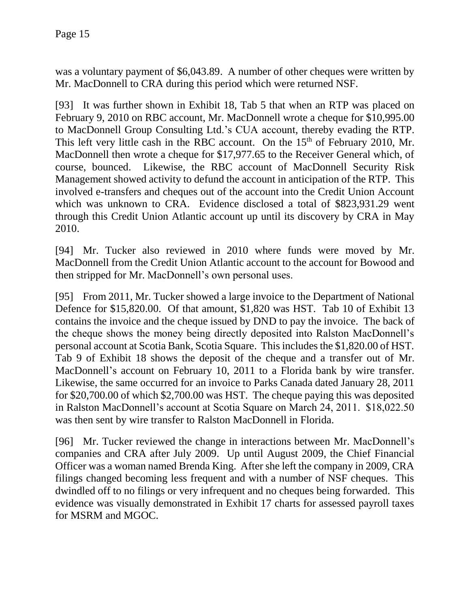was a voluntary payment of \$6,043.89. A number of other cheques were written by Mr. MacDonnell to CRA during this period which were returned NSF.

[93] It was further shown in Exhibit 18, Tab 5 that when an RTP was placed on February 9, 2010 on RBC account, Mr. MacDonnell wrote a cheque for \$10,995.00 to MacDonnell Group Consulting Ltd.'s CUA account, thereby evading the RTP. This left very little cash in the RBC account. On the  $15<sup>th</sup>$  of February 2010, Mr. MacDonnell then wrote a cheque for \$17,977.65 to the Receiver General which, of course, bounced. Likewise, the RBC account of MacDonnell Security Risk Management showed activity to defund the account in anticipation of the RTP. This involved e-transfers and cheques out of the account into the Credit Union Account which was unknown to CRA. Evidence disclosed a total of \$823,931.29 went through this Credit Union Atlantic account up until its discovery by CRA in May 2010.

[94] Mr. Tucker also reviewed in 2010 where funds were moved by Mr. MacDonnell from the Credit Union Atlantic account to the account for Bowood and then stripped for Mr. MacDonnell's own personal uses.

[95] From 2011, Mr. Tucker showed a large invoice to the Department of National Defence for \$15,820.00. Of that amount, \$1,820 was HST. Tab 10 of Exhibit 13 contains the invoice and the cheque issued by DND to pay the invoice. The back of the cheque shows the money being directly deposited into Ralston MacDonnell's personal account at Scotia Bank, Scotia Square. This includes the \$1,820.00 of HST. Tab 9 of Exhibit 18 shows the deposit of the cheque and a transfer out of Mr. MacDonnell's account on February 10, 2011 to a Florida bank by wire transfer. Likewise, the same occurred for an invoice to Parks Canada dated January 28, 2011 for \$20,700.00 of which \$2,700.00 was HST. The cheque paying this was deposited in Ralston MacDonnell's account at Scotia Square on March 24, 2011. \$18,022.50 was then sent by wire transfer to Ralston MacDonnell in Florida.

[96] Mr. Tucker reviewed the change in interactions between Mr. MacDonnell's companies and CRA after July 2009. Up until August 2009, the Chief Financial Officer was a woman named Brenda King. After she left the company in 2009, CRA filings changed becoming less frequent and with a number of NSF cheques. This dwindled off to no filings or very infrequent and no cheques being forwarded. This evidence was visually demonstrated in Exhibit 17 charts for assessed payroll taxes for MSRM and MGOC.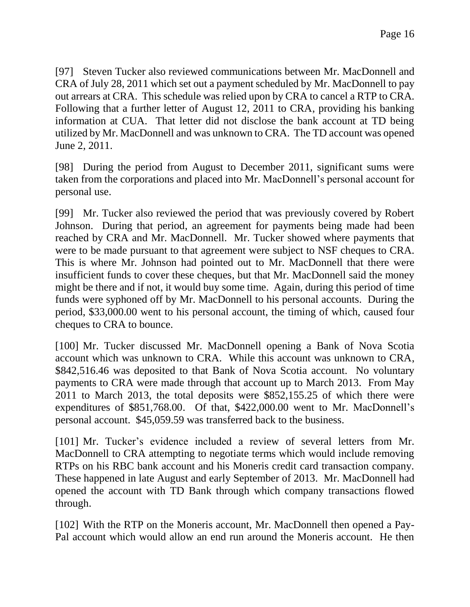[97] Steven Tucker also reviewed communications between Mr. MacDonnell and CRA of July 28, 2011 which set out a payment scheduled by Mr. MacDonnell to pay out arrears at CRA. This schedule was relied upon by CRA to cancel a RTP to CRA. Following that a further letter of August 12, 2011 to CRA, providing his banking information at CUA. That letter did not disclose the bank account at TD being utilized by Mr. MacDonnell and was unknown to CRA. The TD account was opened June 2, 2011.

[98] During the period from August to December 2011, significant sums were taken from the corporations and placed into Mr. MacDonnell's personal account for personal use.

[99] Mr. Tucker also reviewed the period that was previously covered by Robert Johnson. During that period, an agreement for payments being made had been reached by CRA and Mr. MacDonnell. Mr. Tucker showed where payments that were to be made pursuant to that agreement were subject to NSF cheques to CRA. This is where Mr. Johnson had pointed out to Mr. MacDonnell that there were insufficient funds to cover these cheques, but that Mr. MacDonnell said the money might be there and if not, it would buy some time. Again, during this period of time funds were syphoned off by Mr. MacDonnell to his personal accounts. During the period, \$33,000.00 went to his personal account, the timing of which, caused four cheques to CRA to bounce.

[100] Mr. Tucker discussed Mr. MacDonnell opening a Bank of Nova Scotia account which was unknown to CRA. While this account was unknown to CRA, \$842,516.46 was deposited to that Bank of Nova Scotia account. No voluntary payments to CRA were made through that account up to March 2013. From May 2011 to March 2013, the total deposits were \$852,155.25 of which there were expenditures of \$851,768.00. Of that, \$422,000.00 went to Mr. MacDonnell's personal account. \$45,059.59 was transferred back to the business.

[101] Mr. Tucker's evidence included a review of several letters from Mr. MacDonnell to CRA attempting to negotiate terms which would include removing RTPs on his RBC bank account and his Moneris credit card transaction company. These happened in late August and early September of 2013. Mr. MacDonnell had opened the account with TD Bank through which company transactions flowed through.

[102] With the RTP on the Moneris account, Mr. MacDonnell then opened a Pay-Pal account which would allow an end run around the Moneris account. He then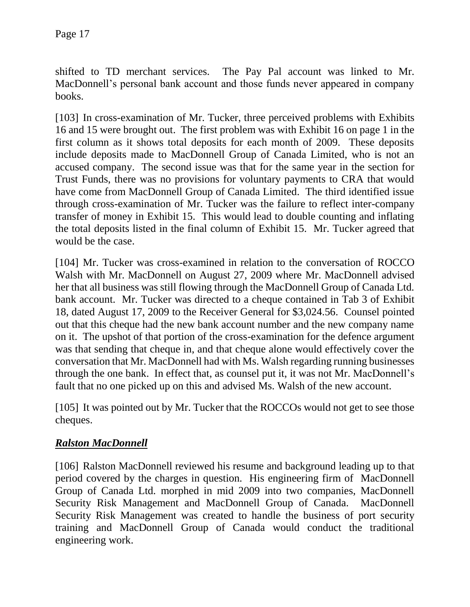shifted to TD merchant services. The Pay Pal account was linked to Mr. MacDonnell's personal bank account and those funds never appeared in company books.

[103] In cross-examination of Mr. Tucker, three perceived problems with Exhibits 16 and 15 were brought out. The first problem was with Exhibit 16 on page 1 in the first column as it shows total deposits for each month of 2009. These deposits include deposits made to MacDonnell Group of Canada Limited, who is not an accused company. The second issue was that for the same year in the section for Trust Funds, there was no provisions for voluntary payments to CRA that would have come from MacDonnell Group of Canada Limited. The third identified issue through cross-examination of Mr. Tucker was the failure to reflect inter-company transfer of money in Exhibit 15. This would lead to double counting and inflating the total deposits listed in the final column of Exhibit 15. Mr. Tucker agreed that would be the case.

[104] Mr. Tucker was cross-examined in relation to the conversation of ROCCO Walsh with Mr. MacDonnell on August 27, 2009 where Mr. MacDonnell advised her that all business was still flowing through the MacDonnell Group of Canada Ltd. bank account. Mr. Tucker was directed to a cheque contained in Tab 3 of Exhibit 18, dated August 17, 2009 to the Receiver General for \$3,024.56. Counsel pointed out that this cheque had the new bank account number and the new company name on it. The upshot of that portion of the cross-examination for the defence argument was that sending that cheque in, and that cheque alone would effectively cover the conversation that Mr. MacDonnell had with Ms. Walsh regarding running businesses through the one bank. In effect that, as counsel put it, it was not Mr. MacDonnell's fault that no one picked up on this and advised Ms. Walsh of the new account.

[105] It was pointed out by Mr. Tucker that the ROCCOs would not get to see those cheques.

## *Ralston MacDonnell*

[106] Ralston MacDonnell reviewed his resume and background leading up to that period covered by the charges in question. His engineering firm of MacDonnell Group of Canada Ltd. morphed in mid 2009 into two companies, MacDonnell Security Risk Management and MacDonnell Group of Canada. MacDonnell Security Risk Management was created to handle the business of port security training and MacDonnell Group of Canada would conduct the traditional engineering work.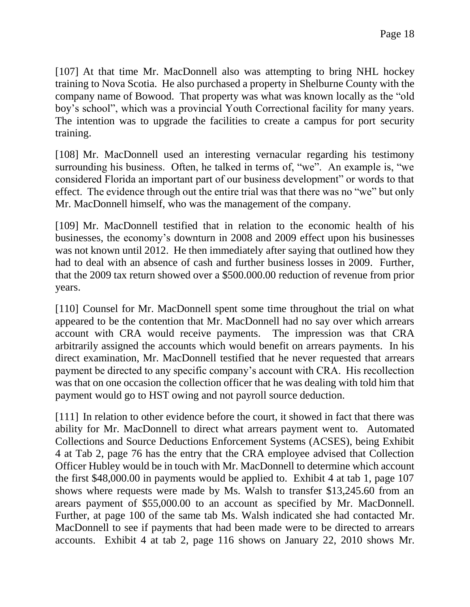[107] At that time Mr. MacDonnell also was attempting to bring NHL hockey training to Nova Scotia. He also purchased a property in Shelburne County with the company name of Bowood. That property was what was known locally as the "old boy's school", which was a provincial Youth Correctional facility for many years. The intention was to upgrade the facilities to create a campus for port security training.

[108] Mr. MacDonnell used an interesting vernacular regarding his testimony surrounding his business. Often, he talked in terms of, "we". An example is, "we considered Florida an important part of our business development" or words to that effect. The evidence through out the entire trial was that there was no "we" but only Mr. MacDonnell himself, who was the management of the company.

[109] Mr. MacDonnell testified that in relation to the economic health of his businesses, the economy's downturn in 2008 and 2009 effect upon his businesses was not known until 2012. He then immediately after saying that outlined how they had to deal with an absence of cash and further business losses in 2009. Further, that the 2009 tax return showed over a \$500.000.00 reduction of revenue from prior years.

[110] Counsel for Mr. MacDonnell spent some time throughout the trial on what appeared to be the contention that Mr. MacDonnell had no say over which arrears account with CRA would receive payments. The impression was that CRA arbitrarily assigned the accounts which would benefit on arrears payments. In his direct examination, Mr. MacDonnell testified that he never requested that arrears payment be directed to any specific company's account with CRA. His recollection was that on one occasion the collection officer that he was dealing with told him that payment would go to HST owing and not payroll source deduction.

[111] In relation to other evidence before the court, it showed in fact that there was ability for Mr. MacDonnell to direct what arrears payment went to. Automated Collections and Source Deductions Enforcement Systems (ACSES), being Exhibit 4 at Tab 2, page 76 has the entry that the CRA employee advised that Collection Officer Hubley would be in touch with Mr. MacDonnell to determine which account the first \$48,000.00 in payments would be applied to. Exhibit 4 at tab 1, page 107 shows where requests were made by Ms. Walsh to transfer \$13,245.60 from an arears payment of \$55,000.00 to an account as specified by Mr. MacDonnell. Further, at page 100 of the same tab Ms. Walsh indicated she had contacted Mr. MacDonnell to see if payments that had been made were to be directed to arrears accounts. Exhibit 4 at tab 2, page 116 shows on January 22, 2010 shows Mr.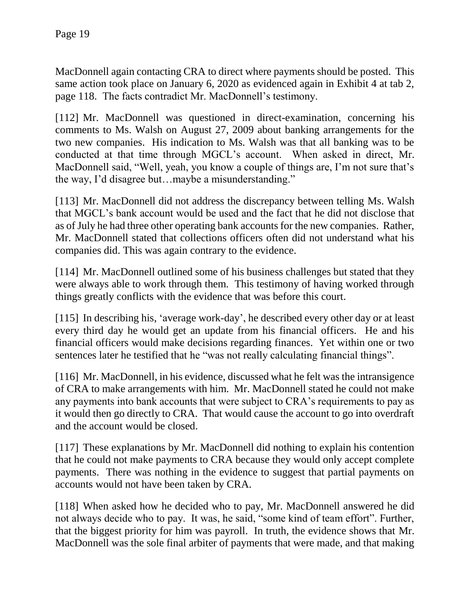MacDonnell again contacting CRA to direct where payments should be posted. This same action took place on January 6, 2020 as evidenced again in Exhibit 4 at tab 2, page 118. The facts contradict Mr. MacDonnell's testimony.

[112] Mr. MacDonnell was questioned in direct-examination, concerning his comments to Ms. Walsh on August 27, 2009 about banking arrangements for the two new companies. His indication to Ms. Walsh was that all banking was to be conducted at that time through MGCL's account. When asked in direct, Mr. MacDonnell said, "Well, yeah, you know a couple of things are, I'm not sure that's the way, I'd disagree but…maybe a misunderstanding."

[113] Mr. MacDonnell did not address the discrepancy between telling Ms. Walsh that MGCL's bank account would be used and the fact that he did not disclose that as of July he had three other operating bank accounts for the new companies. Rather, Mr. MacDonnell stated that collections officers often did not understand what his companies did. This was again contrary to the evidence.

[114] Mr. MacDonnell outlined some of his business challenges but stated that they were always able to work through them. This testimony of having worked through things greatly conflicts with the evidence that was before this court.

[115] In describing his, 'average work-day', he described every other day or at least every third day he would get an update from his financial officers. He and his financial officers would make decisions regarding finances. Yet within one or two sentences later he testified that he "was not really calculating financial things".

[116] Mr. MacDonnell, in his evidence, discussed what he felt was the intransigence of CRA to make arrangements with him. Mr. MacDonnell stated he could not make any payments into bank accounts that were subject to CRA's requirements to pay as it would then go directly to CRA. That would cause the account to go into overdraft and the account would be closed.

[117] These explanations by Mr. MacDonnell did nothing to explain his contention that he could not make payments to CRA because they would only accept complete payments. There was nothing in the evidence to suggest that partial payments on accounts would not have been taken by CRA.

[118] When asked how he decided who to pay, Mr. MacDonnell answered he did not always decide who to pay. It was, he said, "some kind of team effort". Further, that the biggest priority for him was payroll. In truth, the evidence shows that Mr. MacDonnell was the sole final arbiter of payments that were made, and that making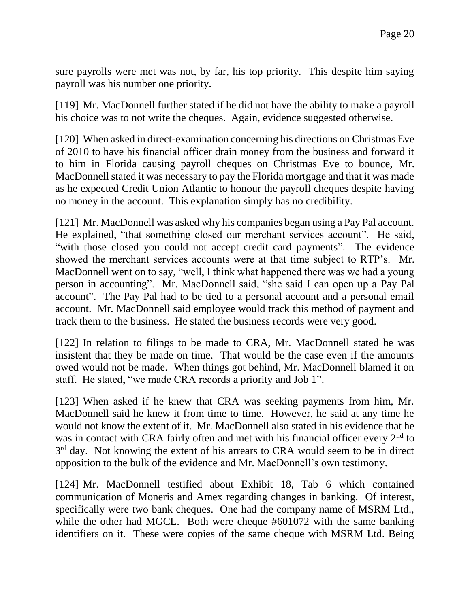sure payrolls were met was not, by far, his top priority. This despite him saying payroll was his number one priority.

[119] Mr. MacDonnell further stated if he did not have the ability to make a payroll his choice was to not write the cheques. Again, evidence suggested otherwise.

[120] When asked in direct-examination concerning his directions on Christmas Eve of 2010 to have his financial officer drain money from the business and forward it to him in Florida causing payroll cheques on Christmas Eve to bounce, Mr. MacDonnell stated it was necessary to pay the Florida mortgage and that it was made as he expected Credit Union Atlantic to honour the payroll cheques despite having no money in the account. This explanation simply has no credibility.

[121] Mr. MacDonnell was asked why his companies began using a Pay Pal account. He explained, "that something closed our merchant services account". He said, "with those closed you could not accept credit card payments". The evidence showed the merchant services accounts were at that time subject to RTP's. Mr. MacDonnell went on to say, "well, I think what happened there was we had a young person in accounting". Mr. MacDonnell said, "she said I can open up a Pay Pal account". The Pay Pal had to be tied to a personal account and a personal email account. Mr. MacDonnell said employee would track this method of payment and track them to the business. He stated the business records were very good.

[122] In relation to filings to be made to CRA, Mr. MacDonnell stated he was insistent that they be made on time. That would be the case even if the amounts owed would not be made. When things got behind, Mr. MacDonnell blamed it on staff. He stated, "we made CRA records a priority and Job 1".

[123] When asked if he knew that CRA was seeking payments from him, Mr. MacDonnell said he knew it from time to time. However, he said at any time he would not know the extent of it. Mr. MacDonnell also stated in his evidence that he was in contact with CRA fairly often and met with his financial officer every  $2<sup>nd</sup>$  to 3<sup>rd</sup> day. Not knowing the extent of his arrears to CRA would seem to be in direct opposition to the bulk of the evidence and Mr. MacDonnell's own testimony.

[124] Mr. MacDonnell testified about Exhibit 18, Tab 6 which contained communication of Moneris and Amex regarding changes in banking. Of interest, specifically were two bank cheques. One had the company name of MSRM Ltd., while the other had MGCL. Both were cheque #601072 with the same banking identifiers on it. These were copies of the same cheque with MSRM Ltd. Being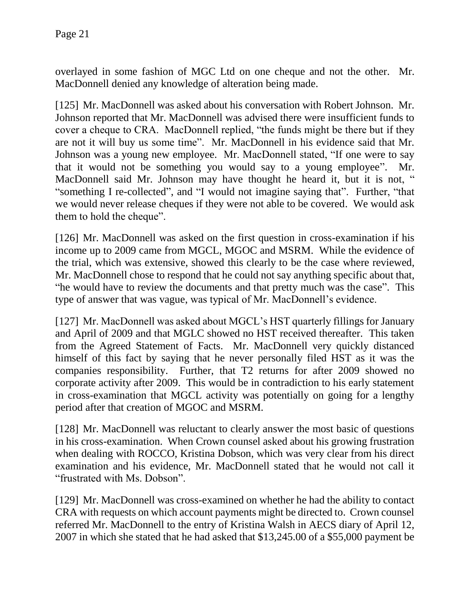overlayed in some fashion of MGC Ltd on one cheque and not the other. Mr. MacDonnell denied any knowledge of alteration being made.

[125] Mr. MacDonnell was asked about his conversation with Robert Johnson. Mr. Johnson reported that Mr. MacDonnell was advised there were insufficient funds to cover a cheque to CRA. MacDonnell replied, "the funds might be there but if they are not it will buy us some time". Mr. MacDonnell in his evidence said that Mr. Johnson was a young new employee. Mr. MacDonnell stated, "If one were to say that it would not be something you would say to a young employee". Mr. MacDonnell said Mr. Johnson may have thought he heard it, but it is not, " "something I re-collected", and "I would not imagine saying that". Further, "that we would never release cheques if they were not able to be covered. We would ask them to hold the cheque".

[126] Mr. MacDonnell was asked on the first question in cross-examination if his income up to 2009 came from MGCL, MGOC and MSRM. While the evidence of the trial, which was extensive, showed this clearly to be the case where reviewed, Mr. MacDonnell chose to respond that he could not say anything specific about that, "he would have to review the documents and that pretty much was the case". This type of answer that was vague, was typical of Mr. MacDonnell's evidence.

[127] Mr. MacDonnell was asked about MGCL's HST quarterly fillings for January and April of 2009 and that MGLC showed no HST received thereafter. This taken from the Agreed Statement of Facts. Mr. MacDonnell very quickly distanced himself of this fact by saying that he never personally filed HST as it was the companies responsibility. Further, that T2 returns for after 2009 showed no corporate activity after 2009. This would be in contradiction to his early statement in cross-examination that MGCL activity was potentially on going for a lengthy period after that creation of MGOC and MSRM.

[128] Mr. MacDonnell was reluctant to clearly answer the most basic of questions in his cross-examination. When Crown counsel asked about his growing frustration when dealing with ROCCO, Kristina Dobson, which was very clear from his direct examination and his evidence, Mr. MacDonnell stated that he would not call it "frustrated with Ms. Dobson".

[129] Mr. MacDonnell was cross-examined on whether he had the ability to contact CRA with requests on which account payments might be directed to. Crown counsel referred Mr. MacDonnell to the entry of Kristina Walsh in AECS diary of April 12, 2007 in which she stated that he had asked that \$13,245.00 of a \$55,000 payment be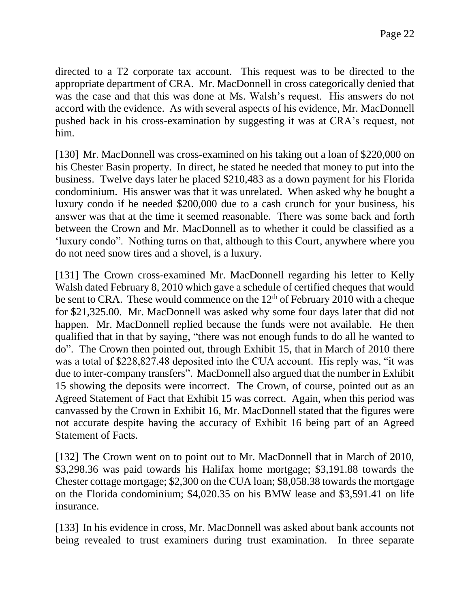directed to a T2 corporate tax account. This request was to be directed to the appropriate department of CRA. Mr. MacDonnell in cross categorically denied that was the case and that this was done at Ms. Walsh's request. His answers do not accord with the evidence. As with several aspects of his evidence, Mr. MacDonnell pushed back in his cross-examination by suggesting it was at CRA's request, not him.

[130] Mr. MacDonnell was cross-examined on his taking out a loan of \$220,000 on his Chester Basin property. In direct, he stated he needed that money to put into the business. Twelve days later he placed \$210,483 as a down payment for his Florida condominium. His answer was that it was unrelated. When asked why he bought a luxury condo if he needed \$200,000 due to a cash crunch for your business, his answer was that at the time it seemed reasonable. There was some back and forth between the Crown and Mr. MacDonnell as to whether it could be classified as a 'luxury condo". Nothing turns on that, although to this Court, anywhere where you do not need snow tires and a shovel, is a luxury.

[131] The Crown cross-examined Mr. MacDonnell regarding his letter to Kelly Walsh dated February 8, 2010 which gave a schedule of certified cheques that would be sent to CRA. These would commence on the  $12<sup>th</sup>$  of February 2010 with a cheque for \$21,325.00. Mr. MacDonnell was asked why some four days later that did not happen. Mr. MacDonnell replied because the funds were not available. He then qualified that in that by saying, "there was not enough funds to do all he wanted to do". The Crown then pointed out, through Exhibit 15, that in March of 2010 there was a total of \$228,827.48 deposited into the CUA account. His reply was, "it was due to inter-company transfers". MacDonnell also argued that the number in Exhibit 15 showing the deposits were incorrect. The Crown, of course, pointed out as an Agreed Statement of Fact that Exhibit 15 was correct. Again, when this period was canvassed by the Crown in Exhibit 16, Mr. MacDonnell stated that the figures were not accurate despite having the accuracy of Exhibit 16 being part of an Agreed Statement of Facts.

[132] The Crown went on to point out to Mr. MacDonnell that in March of 2010, \$3,298.36 was paid towards his Halifax home mortgage; \$3,191.88 towards the Chester cottage mortgage; \$2,300 on the CUA loan; \$8,058.38 towards the mortgage on the Florida condominium; \$4,020.35 on his BMW lease and \$3,591.41 on life insurance.

[133] In his evidence in cross, Mr. MacDonnell was asked about bank accounts not being revealed to trust examiners during trust examination. In three separate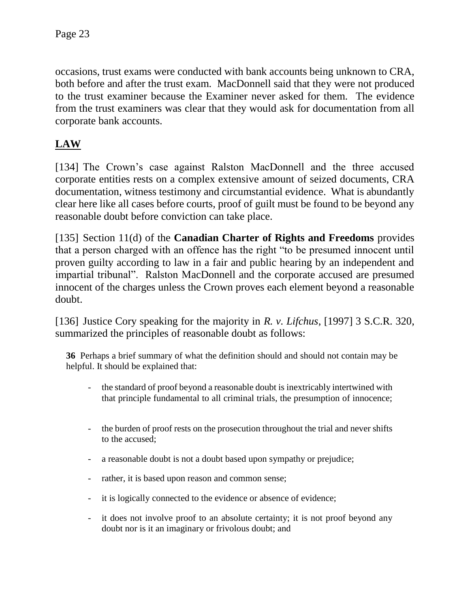occasions, trust exams were conducted with bank accounts being unknown to CRA, both before and after the trust exam. MacDonnell said that they were not produced to the trust examiner because the Examiner never asked for them. The evidence from the trust examiners was clear that they would ask for documentation from all corporate bank accounts.

# **LAW**

[134] The Crown's case against Ralston MacDonnell and the three accused corporate entities rests on a complex extensive amount of seized documents, CRA documentation, witness testimony and circumstantial evidence. What is abundantly clear here like all cases before courts, proof of guilt must be found to be beyond any reasonable doubt before conviction can take place.

[135] Section 11(d) of the **Canadian Charter of Rights and Freedoms** provides that a person charged with an offence has the right "to be presumed innocent until proven guilty according to law in a fair and public hearing by an independent and impartial tribunal". Ralston MacDonnell and the corporate accused are presumed innocent of the charges unless the Crown proves each element beyond a reasonable doubt.

[136] Justice Cory speaking for the majority in *R. v. Lifchus*, [1997] 3 S.C.R. 320, summarized the principles of reasonable doubt as follows:

**36** Perhaps a brief summary of what the definition should and should not contain may be helpful. It should be explained that:

- the standard of proof beyond a reasonable doubt is inextricably intertwined with that principle fundamental to all criminal trials, the presumption of innocence;
- the burden of proof rests on the prosecution throughout the trial and never shifts to the accused;
- a reasonable doubt is not a doubt based upon sympathy or prejudice;
- rather, it is based upon reason and common sense;
- it is logically connected to the evidence or absence of evidence;
- it does not involve proof to an absolute certainty; it is not proof beyond any doubt nor is it an imaginary or frivolous doubt; and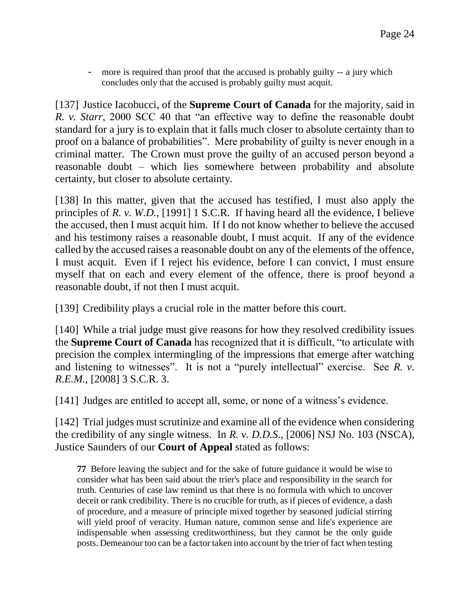- more is required than proof that the accused is probably guilty -- a jury which concludes only that the accused is probably guilty must acquit.

[137] Justice Iacobucci, of the **Supreme Court of Canada** for the majority, said in *R. v. Starr*, 2000 SCC 40 that "an effective way to define the reasonable doubt standard for a jury is to explain that it falls much closer to absolute certainty than to proof on a balance of probabilities". Mere probability of guilty is never enough in a criminal matter. The Crown must prove the guilty of an accused person beyond a reasonable doubt – which lies somewhere between probability and absolute certainty, but closer to absolute certainty.

[138] In this matter, given that the accused has testified, I must also apply the principles of *R. v. W.D.,* [1991] 1 S.C.R. If having heard all the evidence, I believe the accused, then I must acquit him. If I do not know whether to believe the accused and his testimony raises a reasonable doubt, I must acquit. If any of the evidence called by the accused raises a reasonable doubt on any of the elements of the offence, I must acquit. Even if I reject his evidence, before I can convict, I must ensure myself that on each and every element of the offence, there is proof beyond a reasonable doubt, if not then I must acquit.

[139] Credibility plays a crucial role in the matter before this court.

[140] While a trial judge must give reasons for how they resolved credibility issues the **Supreme Court of Canada** has recognized that it is difficult, "to articulate with precision the complex intermingling of the impressions that emerge after watching and listening to witnesses". It is not a "purely intellectual" exercise. See *R. v. R.E.M.,* [2008] 3 S.C.R. 3.

[141] Judges are entitled to accept all, some, or none of a witness's evidence.

[142] Trial judges must scrutinize and examine all of the evidence when considering the credibility of any single witness. In *R. v. D.D.S*., [2006] NSJ No. 103 (NSCA), Justice Saunders of our **Court of Appeal** stated as follows:

**77** Before leaving the subject and for the sake of future guidance it would be wise to consider what has been said about the trier's place and responsibility in the search for truth. Centuries of case law remind us that there is no formula with which to uncover deceit or rank credibility. There is no crucible for truth, as if pieces of evidence, a dash of procedure, and a measure of principle mixed together by seasoned judicial stirring will yield proof of veracity. Human nature, common sense and life's experience are indispensable when assessing creditworthiness, but they cannot be the only guide posts. Demeanour too can be a factor taken into account by the trier of fact when testing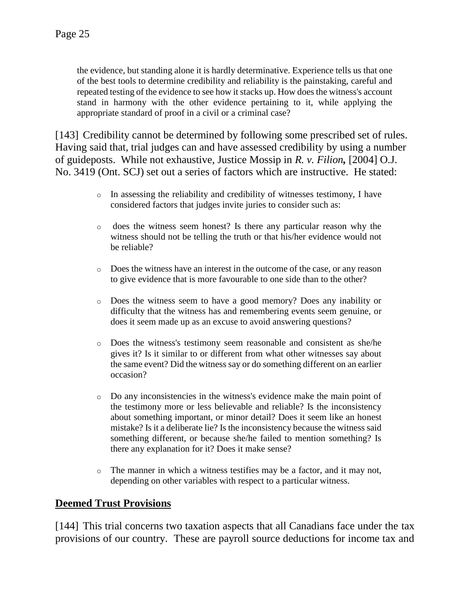the evidence, but standing alone it is hardly determinative. Experience tells us that one of the best tools to determine credibility and reliability is the painstaking, careful and repeated testing of the evidence to see how it stacks up. How does the witness's account stand in harmony with the other evidence pertaining to it, while applying the appropriate standard of proof in a civil or a criminal case?

[143] Credibility cannot be determined by following some prescribed set of rules. Having said that, trial judges can and have assessed credibility by using a number of guideposts. While not exhaustive, Justice Mossip in *R. v. Filion,* [2004] O.J. No. 3419 (Ont. SCJ) set out a series of factors which are instructive. He stated:

- o In assessing the reliability and credibility of witnesses testimony, I have considered factors that judges invite juries to consider such as:
- o does the witness seem honest? Is there any particular reason why the witness should not be telling the truth or that his/her evidence would not be reliable?
- o Does the witness have an interest in the outcome of the case, or any reason to give evidence that is more favourable to one side than to the other?
- o Does the witness seem to have a good memory? Does any inability or difficulty that the witness has and remembering events seem genuine, or does it seem made up as an excuse to avoid answering questions?
- o Does the witness's testimony seem reasonable and consistent as she/he gives it? Is it similar to or different from what other witnesses say about the same event? Did the witness say or do something different on an earlier occasion?
- o Do any inconsistencies in the witness's evidence make the main point of the testimony more or less believable and reliable? Is the inconsistency about something important, or minor detail? Does it seem like an honest mistake? Is it a deliberate lie? Is the inconsistency because the witness said something different, or because she/he failed to mention something? Is there any explanation for it? Does it make sense?
- o The manner in which a witness testifies may be a factor, and it may not, depending on other variables with respect to a particular witness.

## **Deemed Trust Provisions**

[144] This trial concerns two taxation aspects that all Canadians face under the tax provisions of our country. These are payroll source deductions for income tax and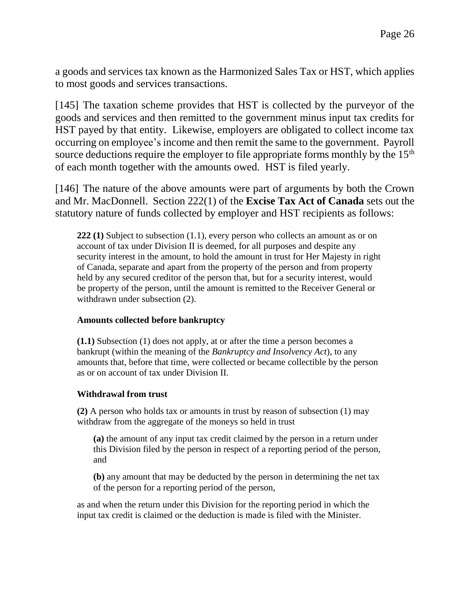a goods and services tax known as the Harmonized Sales Tax or HST, which applies to most goods and services transactions.

[145] The taxation scheme provides that HST is collected by the purveyor of the goods and services and then remitted to the government minus input tax credits for HST payed by that entity. Likewise, employers are obligated to collect income tax occurring on employee's income and then remit the same to the government. Payroll source deductions require the employer to file appropriate forms monthly by the  $15<sup>th</sup>$ of each month together with the amounts owed. HST is filed yearly.

[146] The nature of the above amounts were part of arguments by both the Crown and Mr. MacDonnell. Section 222(1) of the **Excise Tax Act of Canada** sets out the statutory nature of funds collected by employer and HST recipients as follows:

**222 (1)** Subject to subsection (1.1), every person who collects an amount as or on account of tax under Division II is deemed, for all purposes and despite any security interest in the amount, to hold the amount in trust for Her Majesty in right of Canada, separate and apart from the property of the person and from property held by any secured creditor of the person that, but for a security interest, would be property of the person, until the amount is remitted to the Receiver General or withdrawn under subsection (2).

#### **Amounts collected before bankruptcy**

**(1.1)** Subsection (1) does not apply, at or after the time a person becomes a bankrupt (within the meaning of the *Bankruptcy and Insolvency Act*), to any amounts that, before that time, were collected or became collectible by the person as or on account of tax under Division II.

#### **Withdrawal from trust**

**(2)** A person who holds tax or amounts in trust by reason of subsection (1) may withdraw from the aggregate of the moneys so held in trust

**(a)** the amount of any input tax credit claimed by the person in a return under this Division filed by the person in respect of a reporting period of the person, and

**(b)** any amount that may be deducted by the person in determining the net tax of the person for a reporting period of the person,

as and when the return under this Division for the reporting period in which the input tax credit is claimed or the deduction is made is filed with the Minister.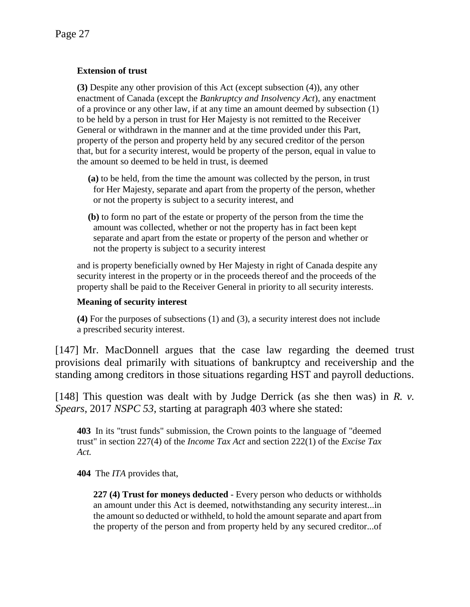#### **Extension of trust**

**(3)** Despite any other provision of this Act (except subsection (4)), any other enactment of Canada (except the *Bankruptcy and Insolvency Act*), any enactment of a province or any other law, if at any time an amount deemed by subsection (1) to be held by a person in trust for Her Majesty is not remitted to the Receiver General or withdrawn in the manner and at the time provided under this Part, property of the person and property held by any secured creditor of the person that, but for a security interest, would be property of the person, equal in value to the amount so deemed to be held in trust, is deemed

- **(a)** to be held, from the time the amount was collected by the person, in trust for Her Majesty, separate and apart from the property of the person, whether or not the property is subject to a security interest, and
- **(b)** to form no part of the estate or property of the person from the time the amount was collected, whether or not the property has in fact been kept separate and apart from the estate or property of the person and whether or not the property is subject to a security interest

and is property beneficially owned by Her Majesty in right of Canada despite any security interest in the property or in the proceeds thereof and the proceeds of the property shall be paid to the Receiver General in priority to all security interests.

#### **Meaning of security interest**

**(4)** For the purposes of subsections (1) and (3), a security interest does not include a prescribed security interest.

[147] Mr. MacDonnell argues that the case law regarding the deemed trust provisions deal primarily with situations of bankruptcy and receivership and the standing among creditors in those situations regarding HST and payroll deductions.

[148] This question was dealt with by Judge Derrick (as she then was) in *R. v. Spears*, 2017 *NSPC 53*, starting at paragraph 403 where she stated:

**403** In its "trust funds" submission, the Crown points to the language of "deemed trust" in section 227(4) of the *Income Tax Act* and section 222(1) of the *Excise Tax Act.*

**404** The *ITA* provides that,

**227 (4) Trust for moneys deducted** - Every person who deducts or withholds an amount under this Act is deemed, notwithstanding any security interest...in the amount so deducted or withheld, to hold the amount separate and apart from the property of the person and from property held by any secured creditor...of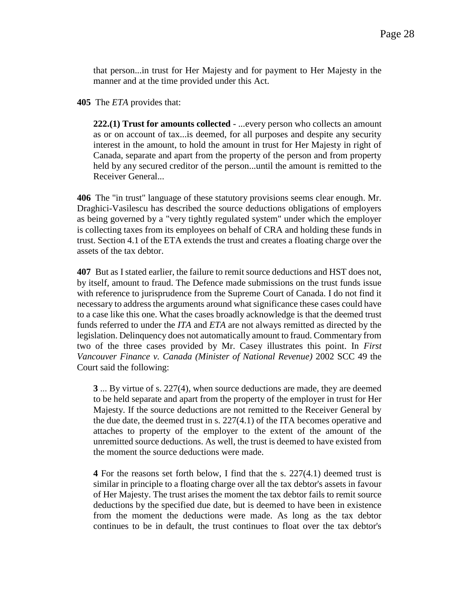that person...in trust for Her Majesty and for payment to Her Majesty in the manner and at the time provided under this Act.

**405** The *ETA* provides that:

**222.(1) Trust for amounts collected** - ...every person who collects an amount as or on account of tax...is deemed, for all purposes and despite any security interest in the amount, to hold the amount in trust for Her Majesty in right of Canada, separate and apart from the property of the person and from property held by any secured creditor of the person...until the amount is remitted to the Receiver General...

**406** The "in trust" language of these statutory provisions seems clear enough. Mr. Draghici-Vasilescu has described the source deductions obligations of employers as being governed by a "very tightly regulated system" under which the employer is collecting taxes from its employees on behalf of CRA and holding these funds in trust. Section 4.1 of the ETA extends the trust and creates a floating charge over the assets of the tax debtor.

**407** But as I stated earlier, the failure to remit source deductions and HST does not, by itself, amount to fraud. The Defence made submissions on the trust funds issue with reference to jurisprudence from the Supreme Court of Canada. I do not find it necessary to address the arguments around what significance these cases could have to a case like this one. What the cases broadly acknowledge is that the deemed trust funds referred to under the *ITA* and *ETA* are not always remitted as directed by the legislation. Delinquency does not automatically amount to fraud. Commentary from two of the three cases provided by Mr. Casey illustrates this point. In *First Vancouver Finance v. Canada (Minister of National Revenue)* 2002 SCC 49 the Court said the following:

**3** ... By virtue of s. 227(4), when source deductions are made, they are deemed to be held separate and apart from the property of the employer in trust for Her Majesty. If the source deductions are not remitted to the Receiver General by the due date, the deemed trust in s. 227(4.1) of the ITA becomes operative and attaches to property of the employer to the extent of the amount of the unremitted source deductions. As well, the trust is deemed to have existed from the moment the source deductions were made.

**4** For the reasons set forth below, I find that the s. 227(4.1) deemed trust is similar in principle to a floating charge over all the tax debtor's assets in favour of Her Majesty. The trust arises the moment the tax debtor fails to remit source deductions by the specified due date, but is deemed to have been in existence from the moment the deductions were made. As long as the tax debtor continues to be in default, the trust continues to float over the tax debtor's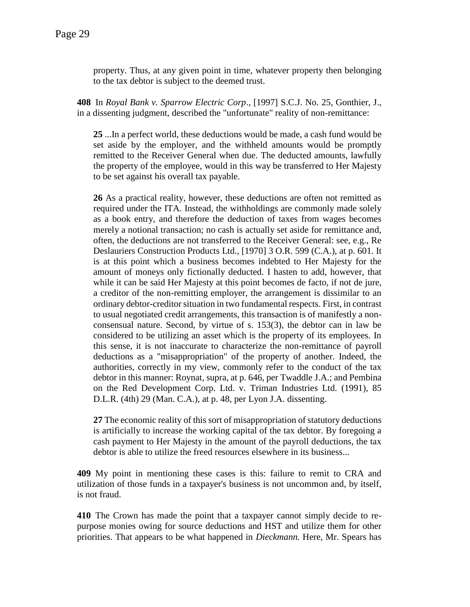property. Thus, at any given point in time, whatever property then belonging to the tax debtor is subject to the deemed trust.

**408** In *Royal Bank v. Sparrow Electric Corp*., [1997] S.C.J. No. 25, Gonthier, J., in a dissenting judgment, described the "unfortunate" reality of non-remittance:

**25** ...In a perfect world, these deductions would be made, a cash fund would be set aside by the employer, and the withheld amounts would be promptly remitted to the Receiver General when due. The deducted amounts, lawfully the property of the employee, would in this way be transferred to Her Majesty to be set against his overall tax payable.

**26** As a practical reality, however, these deductions are often not remitted as required under the ITA. Instead, the withholdings are commonly made solely as a book entry, and therefore the deduction of taxes from wages becomes merely a notional transaction; no cash is actually set aside for remittance and, often, the deductions are not transferred to the Receiver General: see, e.g., Re Deslauriers Construction Products Ltd., [1970] 3 O.R. 599 (C.A.), at p. 601. It is at this point which a business becomes indebted to Her Majesty for the amount of moneys only fictionally deducted. I hasten to add, however, that while it can be said Her Majesty at this point becomes de facto, if not de jure, a creditor of the non-remitting employer, the arrangement is dissimilar to an ordinary debtor-creditor situation in two fundamental respects. First, in contrast to usual negotiated credit arrangements, this transaction is of manifestly a nonconsensual nature. Second, by virtue of s. 153(3), the debtor can in law be considered to be utilizing an asset which is the property of its employees. In this sense, it is not inaccurate to characterize the non-remittance of payroll deductions as a "misappropriation" of the property of another. Indeed, the authorities, correctly in my view, commonly refer to the conduct of the tax debtor in this manner: Roynat, supra, at p. 646, per Twaddle J.A.; and Pembina on the Red Development Corp. Ltd. v. Triman Industries Ltd. (1991), 85 D.L.R. (4th) 29 (Man. C.A.), at p. 48, per Lyon J.A. dissenting.

**27** The economic reality of this sort of misappropriation of statutory deductions is artificially to increase the working capital of the tax debtor. By foregoing a cash payment to Her Majesty in the amount of the payroll deductions, the tax debtor is able to utilize the freed resources elsewhere in its business...

**409** My point in mentioning these cases is this: failure to remit to CRA and utilization of those funds in a taxpayer's business is not uncommon and, by itself, is not fraud.

**410** The Crown has made the point that a taxpayer cannot simply decide to repurpose monies owing for source deductions and HST and utilize them for other priorities. That appears to be what happened in *Dieckmann.* Here, Mr. Spears has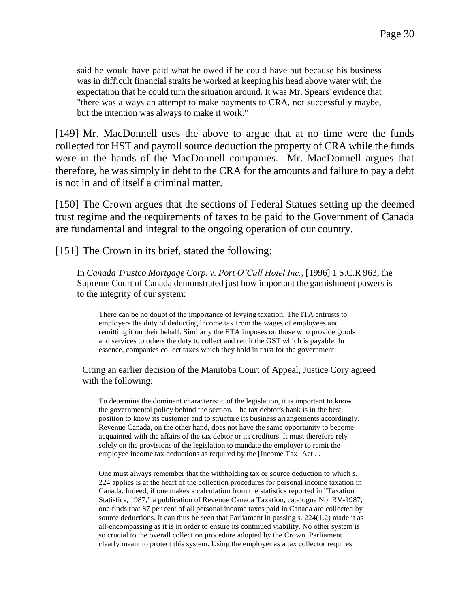said he would have paid what he owed if he could have but because his business was in difficult financial straits he worked at keeping his head above water with the expectation that he could turn the situation around. It was Mr. Spears' evidence that "there was always an attempt to make payments to CRA, not successfully maybe, but the intention was always to make it work."

[149] Mr. MacDonnell uses the above to argue that at no time were the funds collected for HST and payroll source deduction the property of CRA while the funds were in the hands of the MacDonnell companies. Mr. MacDonnell argues that therefore, he was simply in debt to the CRA for the amounts and failure to pay a debt is not in and of itself a criminal matter.

[150] The Crown argues that the sections of Federal Statues setting up the deemed trust regime and the requirements of taxes to be paid to the Government of Canada are fundamental and integral to the ongoing operation of our country.

[151] The Crown in its brief, stated the following:

In *Canada Trustco Mortgage Corp. v. Port O'Call Hotel Inc.,* [1996] 1 S.C.R 963, the Supreme Court of Canada demonstrated just how important the garnishment powers is to the integrity of our system:

There can be no doubt of the importance of levying taxation. The ITA entrusts to employers the duty of deducting income tax from the wages of employees and remitting it on their behalf. Similarly the ETA imposes on those who provide goods and services to others the duty to collect and remit the GST which is payable. In essence, companies collect taxes which they hold in trust for the government.

Citing an earlier decision of the Manitoba Court of Appeal, Justice Cory agreed with the following:

To determine the dominant characteristic of the legislation, it is important to know the governmental policy behind the section. The tax debtor's bank is in the best position to know its customer and to structure its business arrangements accordingly. Revenue Canada, on the other hand, does not have the same opportunity to become acquainted with the affairs of the tax debtor or its creditors. It must therefore rely solely on the provisions of the legislation to mandate the employer to remit the employee income tax deductions as required by the [Income Tax] Act . .

One must always remember that the withholding tax or source deduction to which s. 224 applies is at the heart of the collection procedures for personal income taxation in Canada. Indeed, if one makes a calculation from the statistics reported in "Taxation Statistics, 1987," a publication of Revenue Canada Taxation, catalogue No. RV-1987, one finds that 87 per cent of all personal income taxes paid in Canada are collected by source deductions. It can thus be seen that Parliament in passing s. 224(1.2) made it as all-encompassing as it is in order to ensure its continued viability. No other system is so crucial to the overall collection procedure adopted by the Crown. Parliament clearly meant to protect this system. Using the employer as a tax collector requires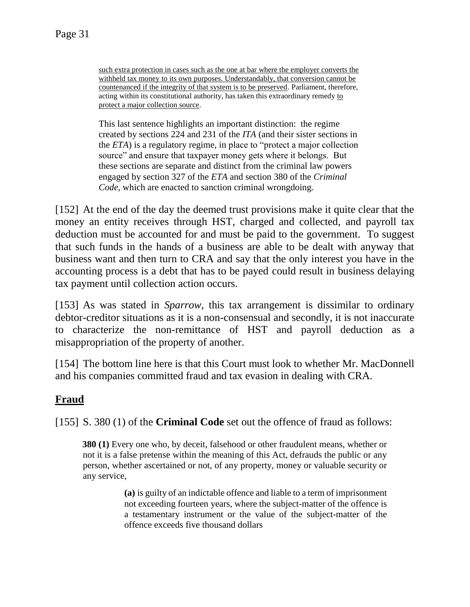such extra protection in cases such as the one at bar where the employer converts the withheld tax money to its own purposes. Understandably, that conversion cannot be countenanced if the integrity of that system is to be preserved. Parliament, therefore, acting within its constitutional authority, has taken this extraordinary remedy to protect a major collection source.

This last sentence highlights an important distinction: the regime created by sections 224 and 231 of the *ITA* (and their sister sections in the *ETA*) is a regulatory regime, in place to "protect a major collection source" and ensure that taxpayer money gets where it belongs. But these sections are separate and distinct from the criminal law powers engaged by section 327 of the *ETA* and section 380 of the *Criminal Code*, which are enacted to sanction criminal wrongdoing.

[152] At the end of the day the deemed trust provisions make it quite clear that the money an entity receives through HST, charged and collected, and payroll tax deduction must be accounted for and must be paid to the government. To suggest that such funds in the hands of a business are able to be dealt with anyway that business want and then turn to CRA and say that the only interest you have in the accounting process is a debt that has to be payed could result in business delaying tax payment until collection action occurs.

[153] As was stated in *Sparrow*, this tax arrangement is dissimilar to ordinary debtor-creditor situations as it is a non-consensual and secondly, it is not inaccurate to characterize the non-remittance of HST and payroll deduction as a misappropriation of the property of another.

[154] The bottom line here is that this Court must look to whether Mr. MacDonnell and his companies committed fraud and tax evasion in dealing with CRA.

## **Fraud**

[155] S. 380 (1) of the **Criminal Code** set out the offence of fraud as follows:

**380 (1)** Every one who, by deceit, falsehood or other fraudulent means, whether or not it is a false pretense within the meaning of this Act, defrauds the public or any person, whether ascertained or not, of any property, money or valuable security or any service,

> **(a)** is guilty of an indictable offence and liable to a term of imprisonment not exceeding fourteen years, where the subject-matter of the offence is a testamentary instrument or the value of the subject-matter of the offence exceeds five thousand dollars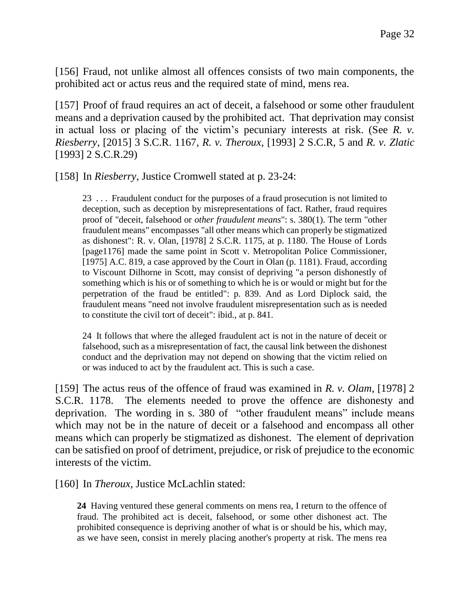[156] Fraud, not unlike almost all offences consists of two main components, the prohibited act or actus reus and the required state of mind, mens rea.

[157] Proof of fraud requires an act of deceit, a falsehood or some other fraudulent means and a deprivation caused by the prohibited act. That deprivation may consist in actual loss or placing of the victim's pecuniary interests at risk. (See *R. v. Riesberry*, [2015] 3 S.C.R. 1167*, R. v. Theroux*, [1993] 2 S.C.R, 5 and *R. v. Zlatic* [1993] 2 S.C.R.29)

[158] In *Riesberry*, Justice Cromwell stated at p. 23-24:

23 . . . Fraudulent conduct for the purposes of a fraud prosecution is not limited to deception, such as deception by misrepresentations of fact. Rather, fraud requires proof of "deceit, falsehood or *other fraudulent means*": s. 380(1). The term "other fraudulent means" encompasses "all other means which can properly be stigmatized as dishonest": R. v. Olan, [1978] 2 S.C.R. 1175, at p. 1180. The House of Lords [page1176] made the same point in Scott v. Metropolitan Police Commissioner, [1975] A.C. 819, a case approved by the Court in Olan (p. 1181). Fraud, according to Viscount Dilhorne in Scott, may consist of depriving "a person dishonestly of something which is his or of something to which he is or would or might but for the perpetration of the fraud be entitled": p. 839. And as Lord Diplock said, the fraudulent means "need not involve fraudulent misrepresentation such as is needed to constitute the civil tort of deceit": ibid., at p. 841.

24 It follows that where the alleged fraudulent act is not in the nature of deceit or falsehood, such as a misrepresentation of fact, the causal link between the dishonest conduct and the deprivation may not depend on showing that the victim relied on or was induced to act by the fraudulent act. This is such a case.

[159] The actus reus of the offence of fraud was examined in *R. v. Olam,* [1978] 2 S.C.R. 1178. The elements needed to prove the offence are dishonesty and deprivation. The wording in s. 380 of "other fraudulent means" include means which may not be in the nature of deceit or a falsehood and encompass all other means which can properly be stigmatized as dishonest. The element of deprivation can be satisfied on proof of detriment, prejudice, or risk of prejudice to the economic interests of the victim.

[160] In *Theroux*, Justice McLachlin stated:

**24** Having ventured these general comments on mens rea, I return to the offence of fraud. The prohibited act is deceit, falsehood, or some other dishonest act. The prohibited consequence is depriving another of what is or should be his, which may, as we have seen, consist in merely placing another's property at risk. The mens rea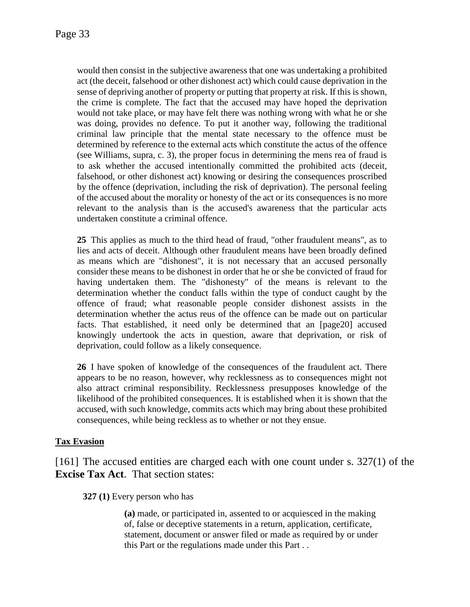would then consist in the subjective awareness that one was undertaking a prohibited act (the deceit, falsehood or other dishonest act) which could cause deprivation in the sense of depriving another of property or putting that property at risk. If this is shown, the crime is complete. The fact that the accused may have hoped the deprivation would not take place, or may have felt there was nothing wrong with what he or she was doing, provides no defence. To put it another way, following the traditional criminal law principle that the mental state necessary to the offence must be determined by reference to the external acts which constitute the actus of the offence (see Williams, supra, c. 3), the proper focus in determining the mens rea of fraud is to ask whether the accused intentionally committed the prohibited acts (deceit, falsehood, or other dishonest act) knowing or desiring the consequences proscribed by the offence (deprivation, including the risk of deprivation). The personal feeling of the accused about the morality or honesty of the act or its consequences is no more relevant to the analysis than is the accused's awareness that the particular acts undertaken constitute a criminal offence.

**25** This applies as much to the third head of fraud, "other fraudulent means", as to lies and acts of deceit. Although other fraudulent means have been broadly defined as means which are "dishonest", it is not necessary that an accused personally consider these means to be dishonest in order that he or she be convicted of fraud for having undertaken them. The "dishonesty" of the means is relevant to the determination whether the conduct falls within the type of conduct caught by the offence of fraud; what reasonable people consider dishonest assists in the determination whether the actus reus of the offence can be made out on particular facts. That established, it need only be determined that an [page20] accused knowingly undertook the acts in question, aware that deprivation, or risk of deprivation, could follow as a likely consequence.

**26** I have spoken of knowledge of the consequences of the fraudulent act. There appears to be no reason, however, why recklessness as to consequences might not also attract criminal responsibility. Recklessness presupposes knowledge of the likelihood of the prohibited consequences. It is established when it is shown that the accused, with such knowledge, commits acts which may bring about these prohibited consequences, while being reckless as to whether or not they ensue.

#### **Tax Evasion**

[161] The accused entities are charged each with one count under s. 327(1) of the **Excise Tax Act**. That section states:

**327 (1)** Every person who has

**(a)** made, or participated in, assented to or acquiesced in the making of, false or deceptive statements in a return, application, certificate, statement, document or answer filed or made as required by or under this Part or the regulations made under this Part . .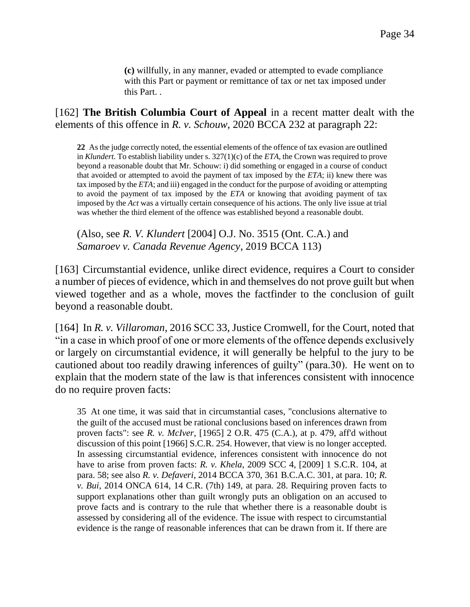**(c)** willfully, in any manner, evaded or attempted to evade compliance with this Part or payment or remittance of tax or net tax imposed under this Part. .

[162] **The British Columbia Court of Appeal** in a recent matter dealt with the elements of this offence in *R. v. Schouw*, 2020 BCCA 232 at paragraph 22:

**22** As the judge correctly noted, the essential elements of the offence of tax evasion are outlined in *Klundert*. To establish liability under s. 327(1)(c) of the *ETA*, the Crown was required to prove beyond a reasonable doubt that Mr. Schouw: i) did something or engaged in a course of conduct that avoided or attempted to avoid the payment of tax imposed by the *ETA*; ii) knew there was tax imposed by the *ETA*; and iii) engaged in the conduct for the purpose of avoiding or attempting to avoid the payment of tax imposed by the *ETA* or knowing that avoiding payment of tax imposed by the *Act* was a virtually certain consequence of his actions. The only live issue at trial was whether the third element of the offence was established beyond a reasonable doubt.

(Also, see *R. V. Klundert* [2004] O.J. No. 3515 (Ont. C.A.) and *Samaroev v. Canada Revenue Agency*, 2019 BCCA 113)

[163] Circumstantial evidence, unlike direct evidence, requires a Court to consider a number of pieces of evidence, which in and themselves do not prove guilt but when viewed together and as a whole, moves the factfinder to the conclusion of guilt beyond a reasonable doubt.

[164] In *R. v. Villaroman*, 2016 SCC 33, Justice Cromwell, for the Court, noted that "in a case in which proof of one or more elements of the offence depends exclusively or largely on circumstantial evidence, it will generally be helpful to the jury to be cautioned about too readily drawing inferences of guilty" (para.30). He went on to explain that the modern state of the law is that inferences consistent with innocence do no require proven facts:

35 At one time, it was said that in circumstantial cases, "conclusions alternative to the guilt of the accused must be rational conclusions based on inferences drawn from proven facts": see *R. v. McIver*, [1965] 2 O.R. 475 (C.A.), at p. 479, aff'd without discussion of this point [1966] S.C.R. 254. However, that view is no longer accepted. In assessing circumstantial evidence, inferences consistent with innocence do not have to arise from proven facts: *R. v. Khela*, 2009 SCC 4, [2009] 1 S.C.R. 104, at para. 58; see also *R. v. Defaveri*, 2014 BCCA 370, 361 B.C.A.C. 301, at para. 10; *R. v. Bui*, 2014 ONCA 614, 14 C.R. (7th) 149, at para. 28. Requiring proven facts to support explanations other than guilt wrongly puts an obligation on an accused to prove facts and is contrary to the rule that whether there is a reasonable doubt is assessed by considering all of the evidence. The issue with respect to circumstantial evidence is the range of reasonable inferences that can be drawn from it. If there are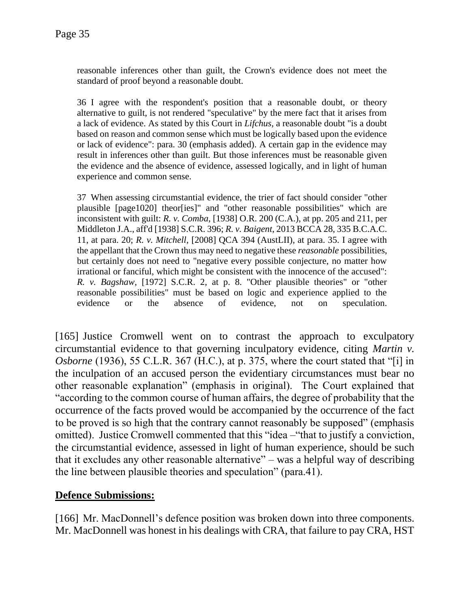reasonable inferences other than guilt, the Crown's evidence does not meet the standard of proof beyond a reasonable doubt.

36 I agree with the respondent's position that a reasonable doubt, or theory alternative to guilt, is not rendered "speculative" by the mere fact that it arises from a lack of evidence. As stated by this Court in *Lifchus*, a reasonable doubt "is a doubt based on reason and common sense which must be logically based upon the evidence or lack of evidence": para. 30 (emphasis added). A certain gap in the evidence may result in inferences other than guilt. But those inferences must be reasonable given the evidence and the absence of evidence, assessed logically, and in light of human experience and common sense.

37 When assessing circumstantial evidence, the trier of fact should consider "other plausible [page1020] theor[ies]" and "other reasonable possibilities" which are inconsistent with guilt: *R. v. Comba*, [1938] O.R. 200 (C.A.), at pp. 205 and 211, per Middleton J.A., aff'd [1938] S.C.R. 396; *R. v. Baigent*, 2013 BCCA 28, 335 B.C.A.C. 11, at para. 20; *R. v. Mitchell*, [2008] QCA 394 (AustLII), at para. 35. I agree with the appellant that the Crown thus may need to negative these *reasonable* possibilities, but certainly does not need to "negative every possible conjecture, no matter how irrational or fanciful, which might be consistent with the innocence of the accused": *R. v. Bagshaw*, [1972] S.C.R. 2, at p. 8. "Other plausible theories" or "other reasonable possibilities" must be based on logic and experience applied to the evidence or the absence of evidence, not on speculation.

[165] Justice Cromwell went on to contrast the approach to exculpatory circumstantial evidence to that governing inculpatory evidence, citing *Martin v. Osborne* (1936), 55 C.L.R. 367 (H.C.), at p. 375, where the court stated that "[i] in the inculpation of an accused person the evidentiary circumstances must bear no other reasonable explanation" (emphasis in original). The Court explained that "according to the common course of human affairs, the degree of probability that the occurrence of the facts proved would be accompanied by the occurrence of the fact to be proved is so high that the contrary cannot reasonably be supposed" (emphasis omitted). Justice Cromwell commented that this "idea –"that to justify a conviction, the circumstantial evidence, assessed in light of human experience, should be such that it excludes any other reasonable alternative" – was a helpful way of describing the line between plausible theories and speculation" (para.41).

#### **Defence Submissions:**

[166] Mr. MacDonnell's defence position was broken down into three components. Mr. MacDonnell was honest in his dealings with CRA, that failure to pay CRA, HST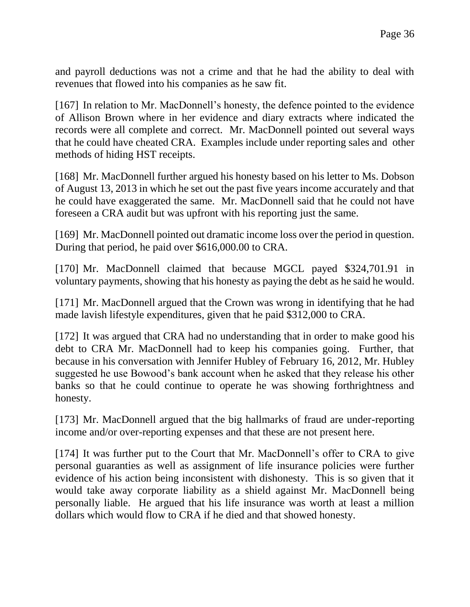and payroll deductions was not a crime and that he had the ability to deal with revenues that flowed into his companies as he saw fit.

[167] In relation to Mr. MacDonnell's honesty, the defence pointed to the evidence of Allison Brown where in her evidence and diary extracts where indicated the records were all complete and correct. Mr. MacDonnell pointed out several ways that he could have cheated CRA. Examples include under reporting sales and other methods of hiding HST receipts.

[168] Mr. MacDonnell further argued his honesty based on his letter to Ms. Dobson of August 13, 2013 in which he set out the past five years income accurately and that he could have exaggerated the same. Mr. MacDonnell said that he could not have foreseen a CRA audit but was upfront with his reporting just the same.

[169] Mr. MacDonnell pointed out dramatic income loss over the period in question. During that period, he paid over \$616,000.00 to CRA.

[170] Mr. MacDonnell claimed that because MGCL payed \$324,701.91 in voluntary payments, showing that his honesty as paying the debt as he said he would.

[171] Mr. MacDonnell argued that the Crown was wrong in identifying that he had made lavish lifestyle expenditures, given that he paid \$312,000 to CRA.

[172] It was argued that CRA had no understanding that in order to make good his debt to CRA Mr. MacDonnell had to keep his companies going. Further, that because in his conversation with Jennifer Hubley of February 16, 2012, Mr. Hubley suggested he use Bowood's bank account when he asked that they release his other banks so that he could continue to operate he was showing forthrightness and honesty.

[173] Mr. MacDonnell argued that the big hallmarks of fraud are under-reporting income and/or over-reporting expenses and that these are not present here.

[174] It was further put to the Court that Mr. MacDonnell's offer to CRA to give personal guaranties as well as assignment of life insurance policies were further evidence of his action being inconsistent with dishonesty. This is so given that it would take away corporate liability as a shield against Mr. MacDonnell being personally liable. He argued that his life insurance was worth at least a million dollars which would flow to CRA if he died and that showed honesty.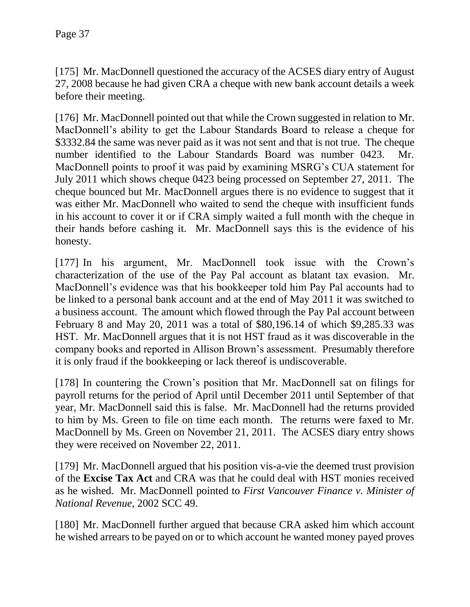[175] Mr. MacDonnell questioned the accuracy of the ACSES diary entry of August 27, 2008 because he had given CRA a cheque with new bank account details a week before their meeting.

[176] Mr. MacDonnell pointed out that while the Crown suggested in relation to Mr. MacDonnell's ability to get the Labour Standards Board to release a cheque for \$3332.84 the same was never paid as it was not sent and that is not true. The cheque number identified to the Labour Standards Board was number 0423. Mr. MacDonnell points to proof it was paid by examining MSRG's CUA statement for July 2011 which shows cheque 0423 being processed on September 27, 2011. The cheque bounced but Mr. MacDonnell argues there is no evidence to suggest that it was either Mr. MacDonnell who waited to send the cheque with insufficient funds in his account to cover it or if CRA simply waited a full month with the cheque in their hands before cashing it. Mr. MacDonnell says this is the evidence of his honesty.

[177] In his argument, Mr. MacDonnell took issue with the Crown's characterization of the use of the Pay Pal account as blatant tax evasion. Mr. MacDonnell's evidence was that his bookkeeper told him Pay Pal accounts had to be linked to a personal bank account and at the end of May 2011 it was switched to a business account. The amount which flowed through the Pay Pal account between February 8 and May 20, 2011 was a total of \$80,196.14 of which \$9,285.33 was HST. Mr. MacDonnell argues that it is not HST fraud as it was discoverable in the company books and reported in Allison Brown's assessment. Presumably therefore it is only fraud if the bookkeeping or lack thereof is undiscoverable.

[178] In countering the Crown's position that Mr. MacDonnell sat on filings for payroll returns for the period of April until December 2011 until September of that year, Mr. MacDonnell said this is false. Mr. MacDonnell had the returns provided to him by Ms. Green to file on time each month. The returns were faxed to Mr. MacDonnell by Ms. Green on November 21, 2011. The ACSES diary entry shows they were received on November 22, 2011.

[179] Mr. MacDonnell argued that his position vis-a-vie the deemed trust provision of the **Excise Tax Act** and CRA was that he could deal with HST monies received as he wished. Mr. MacDonnell pointed to *First Vancouver Finance v. Minister of National Revenue*, 2002 SCC 49.

[180] Mr. MacDonnell further argued that because CRA asked him which account he wished arrears to be payed on or to which account he wanted money payed proves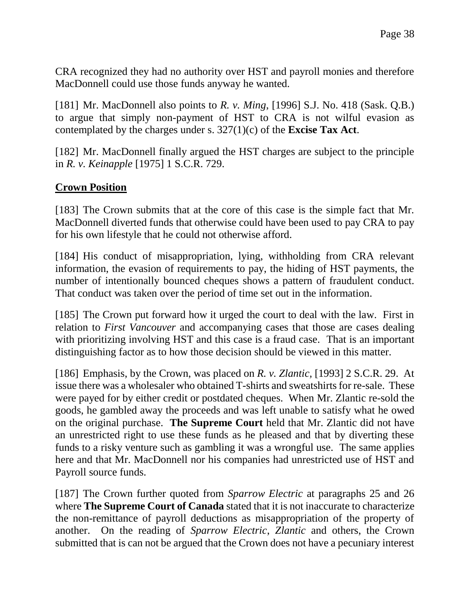CRA recognized they had no authority over HST and payroll monies and therefore MacDonnell could use those funds anyway he wanted.

[181] Mr. MacDonnell also points to *R. v. Ming*, [1996] S.J. No. 418 (Sask. Q.B.) to argue that simply non-payment of HST to CRA is not wilful evasion as contemplated by the charges under s. 327(1)(c) of the **Excise Tax Act**.

[182] Mr. MacDonnell finally argued the HST charges are subject to the principle in *R. v. Keinapple* [1975] 1 S.C.R. 729.

## **Crown Position**

[183] The Crown submits that at the core of this case is the simple fact that Mr. MacDonnell diverted funds that otherwise could have been used to pay CRA to pay for his own lifestyle that he could not otherwise afford.

[184] His conduct of misappropriation, lying, withholding from CRA relevant information, the evasion of requirements to pay, the hiding of HST payments, the number of intentionally bounced cheques shows a pattern of fraudulent conduct. That conduct was taken over the period of time set out in the information.

[185] The Crown put forward how it urged the court to deal with the law. First in relation to *First Vancouver* and accompanying cases that those are cases dealing with prioritizing involving HST and this case is a fraud case. That is an important distinguishing factor as to how those decision should be viewed in this matter.

[186] Emphasis, by the Crown, was placed on *R. v. Zlantic,* [1993] 2 S.C.R. 29. At issue there was a wholesaler who obtained T-shirts and sweatshirts for re-sale. These were payed for by either credit or postdated cheques. When Mr. Zlantic re-sold the goods, he gambled away the proceeds and was left unable to satisfy what he owed on the original purchase. **The Supreme Court** held that Mr. Zlantic did not have an unrestricted right to use these funds as he pleased and that by diverting these funds to a risky venture such as gambling it was a wrongful use. The same applies here and that Mr. MacDonnell nor his companies had unrestricted use of HST and Payroll source funds.

[187] The Crown further quoted from *Sparrow Electric* at paragraphs 25 and 26 where **The Supreme Court of Canada** stated that it is not inaccurate to characterize the non-remittance of payroll deductions as misappropriation of the property of another. On the reading of *Sparrow Electric*, *Zlantic* and others, the Crown submitted that is can not be argued that the Crown does not have a pecuniary interest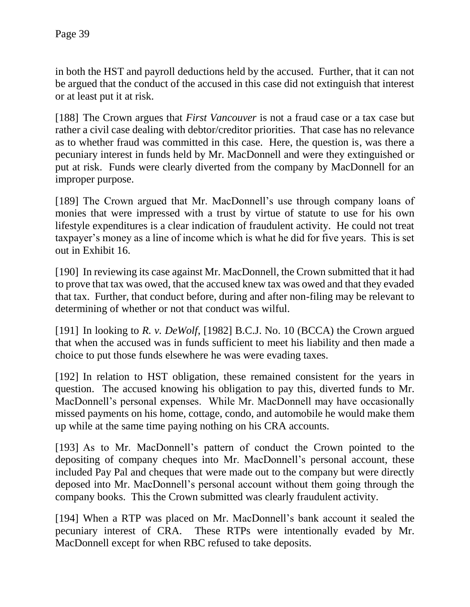in both the HST and payroll deductions held by the accused. Further, that it can not be argued that the conduct of the accused in this case did not extinguish that interest or at least put it at risk.

[188] The Crown argues that *First Vancouver* is not a fraud case or a tax case but rather a civil case dealing with debtor/creditor priorities. That case has no relevance as to whether fraud was committed in this case. Here, the question is, was there a pecuniary interest in funds held by Mr. MacDonnell and were they extinguished or put at risk. Funds were clearly diverted from the company by MacDonnell for an improper purpose.

[189] The Crown argued that Mr. MacDonnell's use through company loans of monies that were impressed with a trust by virtue of statute to use for his own lifestyle expenditures is a clear indication of fraudulent activity. He could not treat taxpayer's money as a line of income which is what he did for five years. This is set out in Exhibit 16.

[190] In reviewing its case against Mr. MacDonnell, the Crown submitted that it had to prove that tax was owed, that the accused knew tax was owed and that they evaded that tax. Further, that conduct before, during and after non-filing may be relevant to determining of whether or not that conduct was wilful.

[191] In looking to *R. v. DeWolf*, [1982] B.C.J. No. 10 (BCCA) the Crown argued that when the accused was in funds sufficient to meet his liability and then made a choice to put those funds elsewhere he was were evading taxes.

[192] In relation to HST obligation, these remained consistent for the years in question. The accused knowing his obligation to pay this, diverted funds to Mr. MacDonnell's personal expenses. While Mr. MacDonnell may have occasionally missed payments on his home, cottage, condo, and automobile he would make them up while at the same time paying nothing on his CRA accounts.

[193] As to Mr. MacDonnell's pattern of conduct the Crown pointed to the depositing of company cheques into Mr. MacDonnell's personal account, these included Pay Pal and cheques that were made out to the company but were directly deposed into Mr. MacDonnell's personal account without them going through the company books. This the Crown submitted was clearly fraudulent activity.

[194] When a RTP was placed on Mr. MacDonnell's bank account it sealed the pecuniary interest of CRA. These RTPs were intentionally evaded by Mr. MacDonnell except for when RBC refused to take deposits.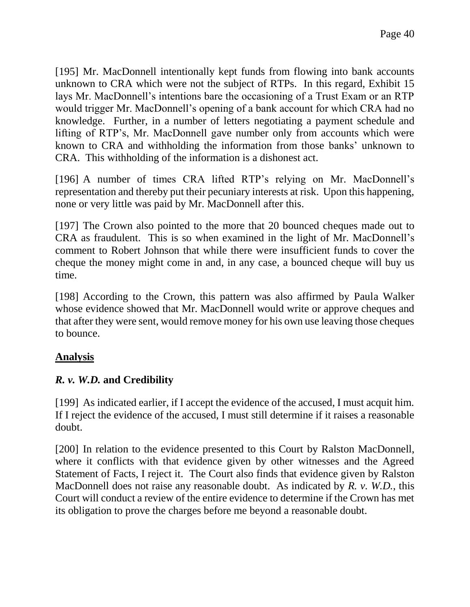[195] Mr. MacDonnell intentionally kept funds from flowing into bank accounts unknown to CRA which were not the subject of RTPs. In this regard, Exhibit 15 lays Mr. MacDonnell's intentions bare the occasioning of a Trust Exam or an RTP would trigger Mr. MacDonnell's opening of a bank account for which CRA had no knowledge. Further, in a number of letters negotiating a payment schedule and lifting of RTP's, Mr. MacDonnell gave number only from accounts which were known to CRA and withholding the information from those banks' unknown to CRA. This withholding of the information is a dishonest act.

[196] A number of times CRA lifted RTP's relying on Mr. MacDonnell's representation and thereby put their pecuniary interests at risk. Upon this happening, none or very little was paid by Mr. MacDonnell after this.

[197] The Crown also pointed to the more that 20 bounced cheques made out to CRA as fraudulent. This is so when examined in the light of Mr. MacDonnell's comment to Robert Johnson that while there were insufficient funds to cover the cheque the money might come in and, in any case, a bounced cheque will buy us time.

[198] According to the Crown, this pattern was also affirmed by Paula Walker whose evidence showed that Mr. MacDonnell would write or approve cheques and that after they were sent, would remove money for his own use leaving those cheques to bounce.

## **Analysis**

## *R. v. W.D.* **and Credibility**

[199] As indicated earlier, if I accept the evidence of the accused, I must acquit him. If I reject the evidence of the accused, I must still determine if it raises a reasonable doubt.

[200] In relation to the evidence presented to this Court by Ralston MacDonnell, where it conflicts with that evidence given by other witnesses and the Agreed Statement of Facts, I reject it. The Court also finds that evidence given by Ralston MacDonnell does not raise any reasonable doubt. As indicated by *R. v. W.D.*, this Court will conduct a review of the entire evidence to determine if the Crown has met its obligation to prove the charges before me beyond a reasonable doubt.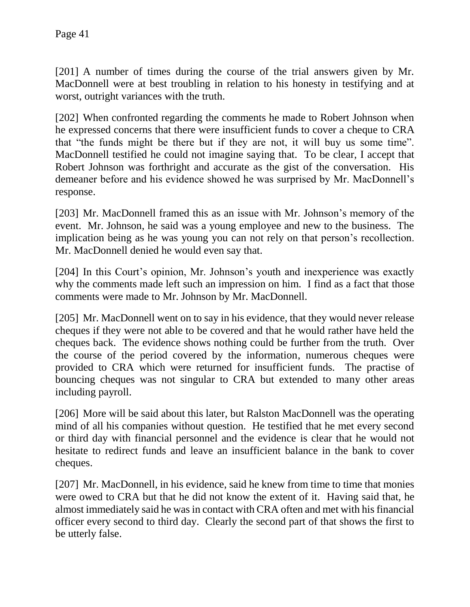[201] A number of times during the course of the trial answers given by Mr. MacDonnell were at best troubling in relation to his honesty in testifying and at worst, outright variances with the truth.

[202] When confronted regarding the comments he made to Robert Johnson when he expressed concerns that there were insufficient funds to cover a cheque to CRA that "the funds might be there but if they are not, it will buy us some time". MacDonnell testified he could not imagine saying that. To be clear, I accept that Robert Johnson was forthright and accurate as the gist of the conversation. His demeaner before and his evidence showed he was surprised by Mr. MacDonnell's response.

[203] Mr. MacDonnell framed this as an issue with Mr. Johnson's memory of the event. Mr. Johnson, he said was a young employee and new to the business. The implication being as he was young you can not rely on that person's recollection. Mr. MacDonnell denied he would even say that.

[204] In this Court's opinion, Mr. Johnson's youth and inexperience was exactly why the comments made left such an impression on him. I find as a fact that those comments were made to Mr. Johnson by Mr. MacDonnell.

[205] Mr. MacDonnell went on to say in his evidence, that they would never release cheques if they were not able to be covered and that he would rather have held the cheques back. The evidence shows nothing could be further from the truth. Over the course of the period covered by the information, numerous cheques were provided to CRA which were returned for insufficient funds. The practise of bouncing cheques was not singular to CRA but extended to many other areas including payroll.

[206] More will be said about this later, but Ralston MacDonnell was the operating mind of all his companies without question. He testified that he met every second or third day with financial personnel and the evidence is clear that he would not hesitate to redirect funds and leave an insufficient balance in the bank to cover cheques.

[207] Mr. MacDonnell, in his evidence, said he knew from time to time that monies were owed to CRA but that he did not know the extent of it. Having said that, he almost immediately said he was in contact with CRA often and met with his financial officer every second to third day. Clearly the second part of that shows the first to be utterly false.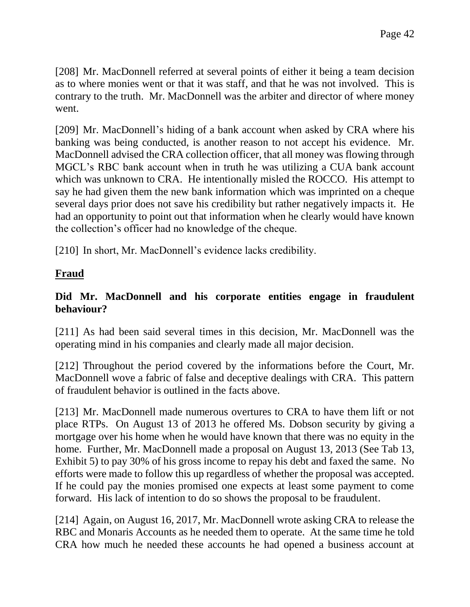[208] Mr. MacDonnell referred at several points of either it being a team decision as to where monies went or that it was staff, and that he was not involved. This is contrary to the truth. Mr. MacDonnell was the arbiter and director of where money went.

[209] Mr. MacDonnell's hiding of a bank account when asked by CRA where his banking was being conducted, is another reason to not accept his evidence. Mr. MacDonnell advised the CRA collection officer, that all money was flowing through MGCL's RBC bank account when in truth he was utilizing a CUA bank account which was unknown to CRA. He intentionally misled the ROCCO. His attempt to say he had given them the new bank information which was imprinted on a cheque several days prior does not save his credibility but rather negatively impacts it. He had an opportunity to point out that information when he clearly would have known the collection's officer had no knowledge of the cheque.

[210] In short, Mr. MacDonnell's evidence lacks credibility.

# **Fraud**

## **Did Mr. MacDonnell and his corporate entities engage in fraudulent behaviour?**

[211] As had been said several times in this decision, Mr. MacDonnell was the operating mind in his companies and clearly made all major decision.

[212] Throughout the period covered by the informations before the Court, Mr. MacDonnell wove a fabric of false and deceptive dealings with CRA. This pattern of fraudulent behavior is outlined in the facts above.

[213] Mr. MacDonnell made numerous overtures to CRA to have them lift or not place RTPs. On August 13 of 2013 he offered Ms. Dobson security by giving a mortgage over his home when he would have known that there was no equity in the home. Further, Mr. MacDonnell made a proposal on August 13, 2013 (See Tab 13, Exhibit 5) to pay 30% of his gross income to repay his debt and faxed the same. No efforts were made to follow this up regardless of whether the proposal was accepted. If he could pay the monies promised one expects at least some payment to come forward. His lack of intention to do so shows the proposal to be fraudulent.

[214] Again, on August 16, 2017, Mr. MacDonnell wrote asking CRA to release the RBC and Monaris Accounts as he needed them to operate. At the same time he told CRA how much he needed these accounts he had opened a business account at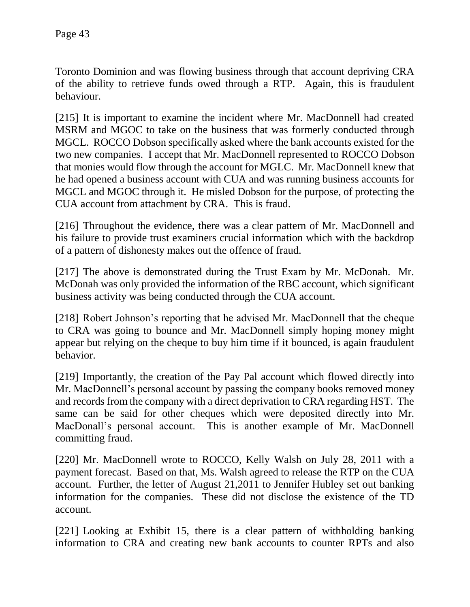Toronto Dominion and was flowing business through that account depriving CRA of the ability to retrieve funds owed through a RTP. Again, this is fraudulent behaviour.

[215] It is important to examine the incident where Mr. MacDonnell had created MSRM and MGOC to take on the business that was formerly conducted through MGCL. ROCCO Dobson specifically asked where the bank accounts existed for the two new companies. I accept that Mr. MacDonnell represented to ROCCO Dobson that monies would flow through the account for MGLC. Mr. MacDonnell knew that he had opened a business account with CUA and was running business accounts for MGCL and MGOC through it. He misled Dobson for the purpose, of protecting the CUA account from attachment by CRA. This is fraud.

[216] Throughout the evidence, there was a clear pattern of Mr. MacDonnell and his failure to provide trust examiners crucial information which with the backdrop of a pattern of dishonesty makes out the offence of fraud.

[217] The above is demonstrated during the Trust Exam by Mr. McDonah. Mr. McDonah was only provided the information of the RBC account, which significant business activity was being conducted through the CUA account.

[218] Robert Johnson's reporting that he advised Mr. MacDonnell that the cheque to CRA was going to bounce and Mr. MacDonnell simply hoping money might appear but relying on the cheque to buy him time if it bounced, is again fraudulent behavior.

[219] Importantly, the creation of the Pay Pal account which flowed directly into Mr. MacDonnell's personal account by passing the company books removed money and records from the company with a direct deprivation to CRA regarding HST. The same can be said for other cheques which were deposited directly into Mr. MacDonall's personal account. This is another example of Mr. MacDonnell committing fraud.

[220] Mr. MacDonnell wrote to ROCCO, Kelly Walsh on July 28, 2011 with a payment forecast. Based on that, Ms. Walsh agreed to release the RTP on the CUA account. Further, the letter of August 21,2011 to Jennifer Hubley set out banking information for the companies. These did not disclose the existence of the TD account.

[221] Looking at Exhibit 15, there is a clear pattern of withholding banking information to CRA and creating new bank accounts to counter RPTs and also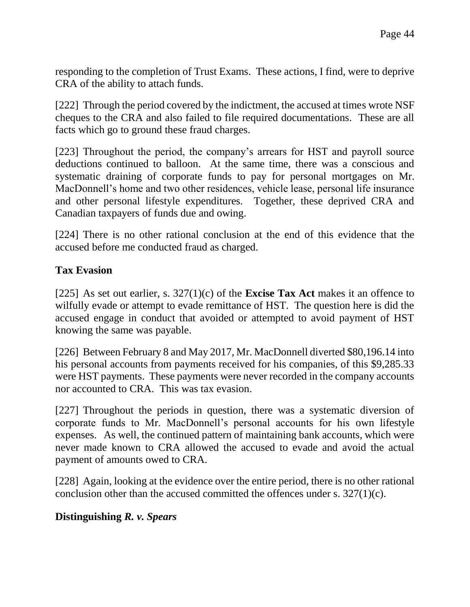responding to the completion of Trust Exams. These actions, I find, were to deprive CRA of the ability to attach funds.

[222] Through the period covered by the indictment, the accused at times wrote NSF cheques to the CRA and also failed to file required documentations. These are all facts which go to ground these fraud charges.

[223] Throughout the period, the company's arrears for HST and payroll source deductions continued to balloon. At the same time, there was a conscious and systematic draining of corporate funds to pay for personal mortgages on Mr. MacDonnell's home and two other residences, vehicle lease, personal life insurance and other personal lifestyle expenditures. Together, these deprived CRA and Canadian taxpayers of funds due and owing.

[224] There is no other rational conclusion at the end of this evidence that the accused before me conducted fraud as charged.

## **Tax Evasion**

[225] As set out earlier, s. 327(1)(c) of the **Excise Tax Act** makes it an offence to wilfully evade or attempt to evade remittance of HST. The question here is did the accused engage in conduct that avoided or attempted to avoid payment of HST knowing the same was payable.

[226] Between February 8 and May 2017, Mr. MacDonnell diverted \$80,196.14 into his personal accounts from payments received for his companies, of this \$9,285.33 were HST payments. These payments were never recorded in the company accounts nor accounted to CRA. This was tax evasion.

[227] Throughout the periods in question, there was a systematic diversion of corporate funds to Mr. MacDonnell's personal accounts for his own lifestyle expenses. As well, the continued pattern of maintaining bank accounts, which were never made known to CRA allowed the accused to evade and avoid the actual payment of amounts owed to CRA.

[228] Again, looking at the evidence over the entire period, there is no other rational conclusion other than the accused committed the offences under s.  $327(1)(c)$ .

## **Distinguishing** *R. v. Spears*